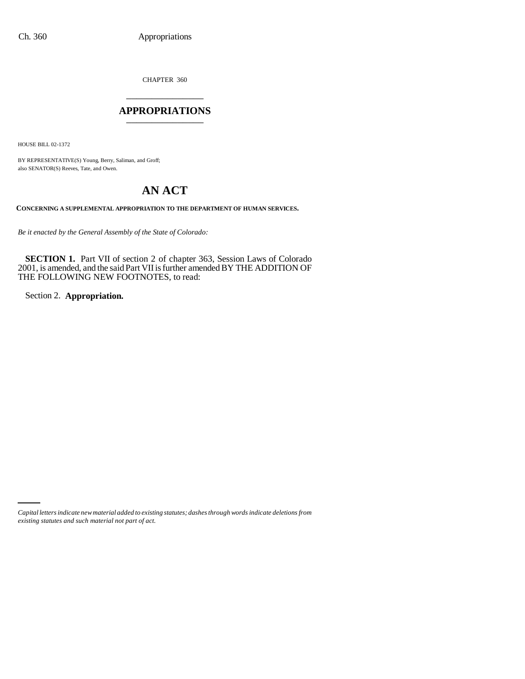CHAPTER 360 \_\_\_\_\_\_\_\_\_\_\_\_\_\_\_

## **APPROPRIATIONS** \_\_\_\_\_\_\_\_\_\_\_\_\_\_\_

HOUSE BILL 02-1372

BY REPRESENTATIVE(S) Young, Berry, Saliman, and Groff; also SENATOR(S) Reeves, Tate, and Owen.

# **AN ACT**

**CONCERNING A SUPPLEMENTAL APPROPRIATION TO THE DEPARTMENT OF HUMAN SERVICES.**

*Be it enacted by the General Assembly of the State of Colorado:*

**SECTION 1.** Part VII of section 2 of chapter 363, Session Laws of Colorado 2001, is amended, and the said Part VII is further amended BY THE ADDITION OF THE FOLLOWING NEW FOOTNOTES, to read:

Section 2. **Appropriation.**

*Capital letters indicate new material added to existing statutes; dashes through words indicate deletions from existing statutes and such material not part of act.*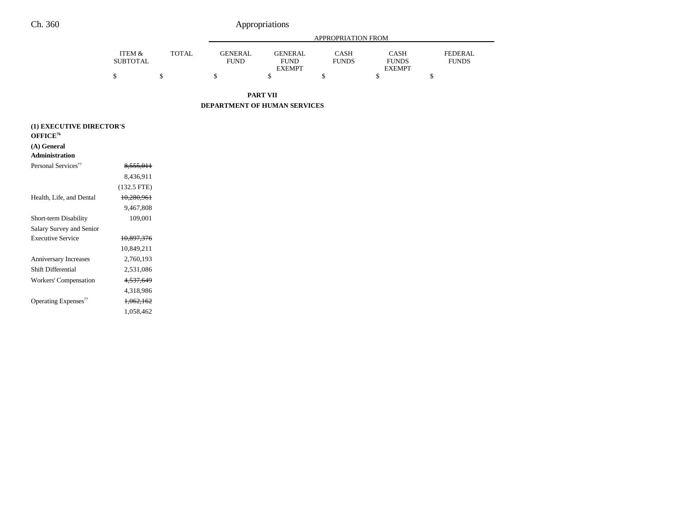| <b>PART VII</b>           |              |                               |                                                |                             |                                              |                                |  |  |  |
|---------------------------|--------------|-------------------------------|------------------------------------------------|-----------------------------|----------------------------------------------|--------------------------------|--|--|--|
|                           |              | ¢<br>э                        |                                                |                             |                                              |                                |  |  |  |
| ITEM &<br><b>SUBTOTAL</b> | <b>TOTAL</b> | <b>GENERAL</b><br><b>FUND</b> | <b>GENERAL</b><br><b>FUND</b><br><b>EXEMPT</b> | <b>CASH</b><br><b>FUNDS</b> | <b>CASH</b><br><b>FUNDS</b><br><b>EXEMPT</b> | <b>FEDERAL</b><br><b>FUNDS</b> |  |  |  |
|                           |              |                               |                                                | APPROPRIATION FROM          |                                              |                                |  |  |  |

**DEPARTMENT OF HUMAN SERVICES**

| (1) EXECUTIVE DIRECTOR'S         |               |  |  |  |  |
|----------------------------------|---------------|--|--|--|--|
| OFFICE <sup>76</sup>             |               |  |  |  |  |
| (A) General                      |               |  |  |  |  |
| <b>Administration</b>            |               |  |  |  |  |
| Personal Services <sup>77</sup>  | 8,555,011     |  |  |  |  |
|                                  | 8,436,911     |  |  |  |  |
|                                  | $(132.5$ FTE) |  |  |  |  |
| Health, Life, and Dental         | 10,280,961    |  |  |  |  |
|                                  | 9,467,808     |  |  |  |  |
| Short-term Disability            | 109,001       |  |  |  |  |
| Salary Survey and Senior         |               |  |  |  |  |
| <b>Executive Service</b>         | 10,897,376    |  |  |  |  |
|                                  | 10,849,211    |  |  |  |  |
| <b>Anniversary Increases</b>     | 2,760,193     |  |  |  |  |
| Shift Differential               | 2,531,086     |  |  |  |  |
| Workers' Compensation            | 4, 537, 649   |  |  |  |  |
|                                  | 4,318,986     |  |  |  |  |
| Operating Expenses <sup>77</sup> | 1,062,162     |  |  |  |  |
|                                  | 1.058.462     |  |  |  |  |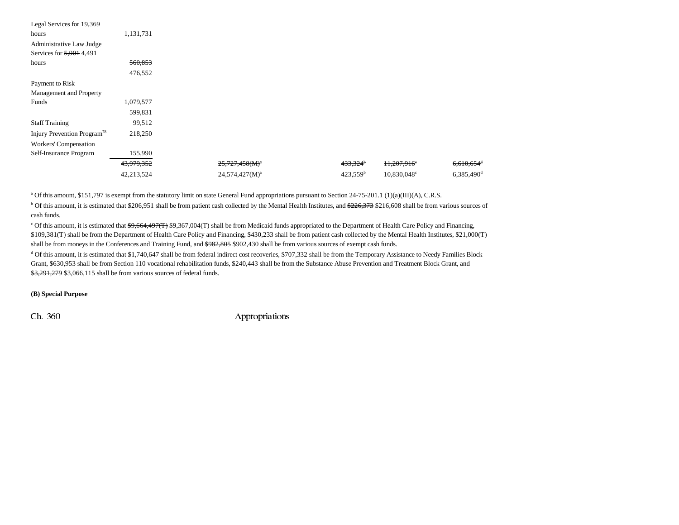| Legal Services for 19,369               |            |                            |                      |                         |                          |
|-----------------------------------------|------------|----------------------------|----------------------|-------------------------|--------------------------|
| hours                                   | 1,131,731  |                            |                      |                         |                          |
| Administrative Law Judge                |            |                            |                      |                         |                          |
| Services for 5,901 4,491                |            |                            |                      |                         |                          |
| hours                                   | 560,853    |                            |                      |                         |                          |
|                                         | 476,552    |                            |                      |                         |                          |
| Payment to Risk                         |            |                            |                      |                         |                          |
| Management and Property                 |            |                            |                      |                         |                          |
| Funds                                   | 1,079,577  |                            |                      |                         |                          |
|                                         | 599,831    |                            |                      |                         |                          |
| <b>Staff Training</b>                   | 99,512     |                            |                      |                         |                          |
| Injury Prevention Program <sup>78</sup> | 218,250    |                            |                      |                         |                          |
| Workers' Compensation                   |            |                            |                      |                         |                          |
| Self-Insurance Program                  | 155,990    |                            |                      |                         |                          |
|                                         | 43,979,352 | $25,727,458(M)^{a}$        | 433,324 <sup>b</sup> | 11,207,916 <sup>e</sup> | $6,610,654$ <sup>d</sup> |
|                                         | 42,213,524 | 24,574,427(M) <sup>a</sup> | 423.559 <sup>b</sup> | 10,830,048 <sup>c</sup> | $6,385,490$ <sup>d</sup> |

<sup>a</sup> Of this amount, \$151,797 is exempt from the statutory limit on state General Fund appropriations pursuant to Section 24-75-201.1 (1)(a)(III)(A), C.R.S.

<sup>b</sup> Of this amount, it is estimated that \$206,951 shall be from patient cash collected by the Mental Health Institutes, and \$226,373 \$216,608 shall be from various sources of cash funds.

<sup>c</sup> Of this amount, it is estimated that \$9,664,497(T) \$9,367,004(T) shall be from Medicaid funds appropriated to the Department of Health Care Policy and Financing, \$109,381(T) shall be from the Department of Health Care Policy and Financing, \$430,233 shall be from patient cash collected by the Mental Health Institutes, \$21,000(T) shall be from moneys in the Conferences and Training Fund, and \$982,805 \$902,430 shall be from various sources of exempt cash funds.

<sup>d</sup> Of this amount, it is estimated that \$1,740,647 shall be from federal indirect cost recoveries, \$707,332 shall be from the Temporary Assistance to Needy Families Block Grant, \$630,953 shall be from Section 110 vocational rehabilitation funds, \$240,443 shall be from the Substance Abuse Prevention and Treatment Block Grant, and \$3,291,279 \$3,066,115 shall be from various sources of federal funds.

#### **(B) Special Purpose**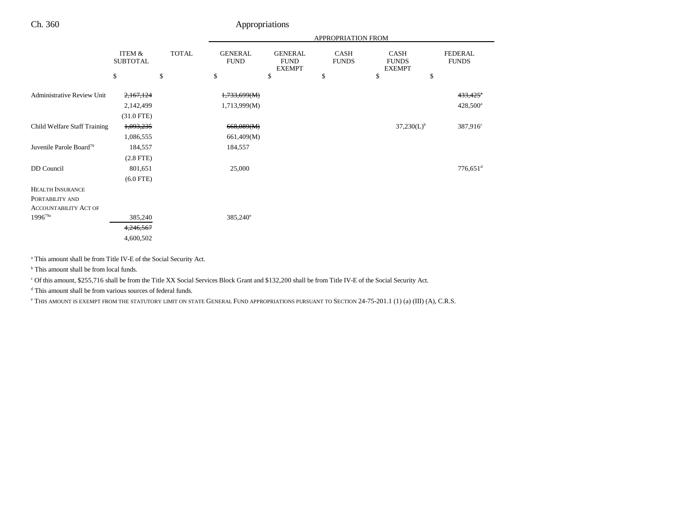|                                     |                           |              |                               |                                                | APPROPRIATION FROM   |                                       |                                |
|-------------------------------------|---------------------------|--------------|-------------------------------|------------------------------------------------|----------------------|---------------------------------------|--------------------------------|
|                                     | ITEM &<br><b>SUBTOTAL</b> | <b>TOTAL</b> | <b>GENERAL</b><br><b>FUND</b> | <b>GENERAL</b><br><b>FUND</b><br><b>EXEMPT</b> | CASH<br><b>FUNDS</b> | CASH<br><b>FUNDS</b><br><b>EXEMPT</b> | <b>FEDERAL</b><br><b>FUNDS</b> |
|                                     | \$                        | \$           | \$                            | \$                                             | \$                   | \$                                    | \$                             |
| Administrative Review Unit          | 2,167,124                 |              | 1,733,699(M)                  |                                                |                      |                                       | 433,425*                       |
|                                     | 2,142,499                 |              | 1,713,999(M)                  |                                                |                      |                                       | 428,500 <sup>a</sup>           |
|                                     | $(31.0$ FTE)              |              |                               |                                                |                      |                                       |                                |
| Child Welfare Staff Training        | 1,093,235                 |              | 668,089(M)                    |                                                |                      | $37,230(L)^{b}$                       | 387,916 <sup>c</sup>           |
|                                     | 1,086,555                 |              | 661,409(M)                    |                                                |                      |                                       |                                |
| Juvenile Parole Board <sup>79</sup> | 184,557                   |              | 184,557                       |                                                |                      |                                       |                                |
|                                     | $(2.8$ FTE $)$            |              |                               |                                                |                      |                                       |                                |
| DD Council                          | 801,651                   |              | 25,000                        |                                                |                      |                                       | $776,651$ <sup>d</sup>         |
|                                     | $(6.0$ FTE)               |              |                               |                                                |                      |                                       |                                |
| <b>HEALTH INSURANCE</b>             |                           |              |                               |                                                |                      |                                       |                                |
| PORTABILITY AND                     |                           |              |                               |                                                |                      |                                       |                                |
| <b>ACCOUNTABILITY ACT OF</b>        |                           |              |                               |                                                |                      |                                       |                                |
| $1996^{79a}$                        | 385,240                   |              | $385,240^{\circ}$             |                                                |                      |                                       |                                |
|                                     | 4,246,567                 |              |                               |                                                |                      |                                       |                                |
|                                     | 4,600,502                 |              |                               |                                                |                      |                                       |                                |

a This amount shall be from Title IV-E of the Social Security Act.

<sup>b</sup> This amount shall be from local funds.

c Of this amount, \$255,716 shall be from the Title XX Social Services Block Grant and \$132,200 shall be from Title IV-E of the Social Security Act.

d This amount shall be from various sources of federal funds.

e THIS AMOUNT IS EXEMPT FROM THE STATUTORY LIMIT ON STATE GENERAL FUND APPROPRIATIONS PURSUANT TO SECTION 24-75-201.1 (1) (a) (III) (A), C.R.S.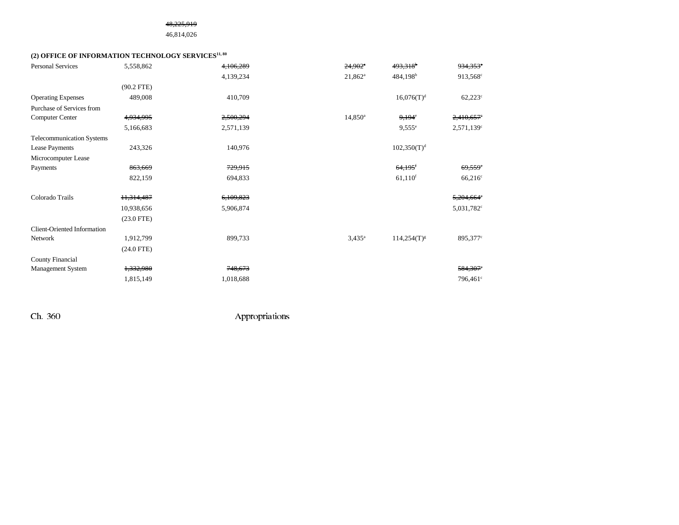#### 48,225,919

## 46,814,026

## (2) OFFICE OF INFORMATION TECHNOLOGY SERVICES<sup>11, 80</sup>

| <b>Personal Services</b>         | 5,558,862    | 4,106,289 | $24,902$ <sup>*</sup> | 493,318 <sup>b</sup>    | 934,353°                 |
|----------------------------------|--------------|-----------|-----------------------|-------------------------|--------------------------|
|                                  |              | 4,139,234 | $21,862^a$            | $484,198^b$             | 913,568 <sup>c</sup>     |
|                                  | $(90.2$ FTE) |           |                       |                         |                          |
| <b>Operating Expenses</b>        | 489,008      | 410,709   |                       | $16,076(T)^{d}$         | $62,223^{\circ}$         |
| Purchase of Services from        |              |           |                       |                         |                          |
| Computer Center                  | 4,934,995    | 2,500,294 | $14,850^{\circ}$      | $9,194^e$               | 2,410,657                |
|                                  | 5,166,683    | 2,571,139 |                       | $9,555^{\circ}$         | $2,571,139^c$            |
| <b>Telecommunication Systems</b> |              |           |                       |                         |                          |
| Lease Payments                   | 243,326      | 140,976   |                       | 102,350(T) <sup>d</sup> |                          |
| Microcomputer Lease              |              |           |                       |                         |                          |
| Payments                         | 863,669      | 729,915   |                       | $64,195$ <sup>f</sup>   | $69,559$ <sup>c</sup>    |
|                                  | 822,159      | 694,833   |                       | $61,110$ <sup>f</sup>   | $66,216^{\circ}$         |
|                                  |              |           |                       |                         |                          |
| Colorado Trails                  | 11,314,487   | 6,109,823 |                       |                         | 5,204,664°               |
|                                  | 10,938,656   | 5,906,874 |                       |                         | $5,031,782$ <sup>c</sup> |
|                                  | $(23.0$ FTE) |           |                       |                         |                          |
| Client-Oriented Information      |              |           |                       |                         |                          |
| Network                          | 1,912,799    | 899,733   | $3,435^{\circ}$       | $114,254(T)^{g}$        | 895,377°                 |
|                                  | $(24.0$ FTE) |           |                       |                         |                          |
| County Financial                 |              |           |                       |                         |                          |
| Management System                | 1,332,980    | 748,673   |                       |                         | 584,307°                 |
|                                  | 1,815,149    | 1,018,688 |                       |                         | 796,461 <sup>c</sup>     |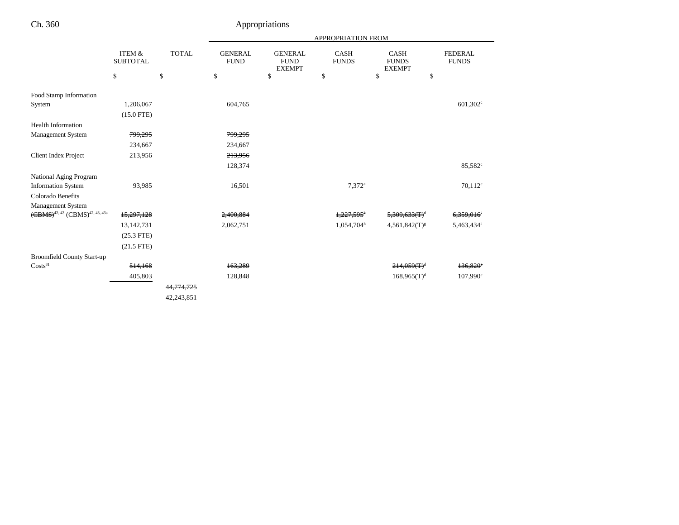|                                                       |                           |              |                                |                                                | APPROPRIATION FROM          |                                              |                                |
|-------------------------------------------------------|---------------------------|--------------|--------------------------------|------------------------------------------------|-----------------------------|----------------------------------------------|--------------------------------|
|                                                       | ITEM &<br><b>SUBTOTAL</b> | <b>TOTAL</b> | <b>GENERAL</b><br>${\rm FUND}$ | <b>GENERAL</b><br><b>FUND</b><br><b>EXEMPT</b> | <b>CASH</b><br><b>FUNDS</b> | <b>CASH</b><br><b>FUNDS</b><br><b>EXEMPT</b> | <b>FEDERAL</b><br><b>FUNDS</b> |
|                                                       | \$                        | \$           | \$                             | \$                                             | \$                          | \$<br>\$                                     |                                |
| Food Stamp Information                                |                           |              |                                |                                                |                             |                                              |                                |
| System                                                | 1,206,067                 |              | 604,765                        |                                                |                             |                                              | 601,302 <sup>c</sup>           |
|                                                       | $(15.0$ FTE)              |              |                                |                                                |                             |                                              |                                |
| <b>Health Information</b>                             |                           |              |                                |                                                |                             |                                              |                                |
| Management System                                     | 799,295                   |              | 799,295                        |                                                |                             |                                              |                                |
|                                                       | 234,667                   |              | 234,667                        |                                                |                             |                                              |                                |
| <b>Client Index Project</b>                           | 213,956                   |              | 213,956                        |                                                |                             |                                              |                                |
|                                                       |                           |              | 128,374                        |                                                |                             |                                              | 85,582 <sup>c</sup>            |
| National Aging Program                                |                           |              |                                |                                                |                             |                                              |                                |
| <b>Information System</b>                             | 93,985                    |              | 16,501                         |                                                | $7.372$ <sup>a</sup>        |                                              | $70,112^c$                     |
| Colorado Benefits                                     |                           |              |                                |                                                |                             |                                              |                                |
| <b>Management System</b>                              |                           |              |                                |                                                |                             |                                              |                                |
| $(\text{CBMS})^{42,43}$ (CBMS) <sup>42, 43, 43a</sup> | 15,297,128                |              | 2,400,884                      |                                                | 1,227,595 <sup>h</sup>      | $5,309,633$ $(\text{T})^{\text{d}}$          | <del>6,359,016</del>           |
|                                                       | 13, 142, 731              |              | 2,062,751                      |                                                | 1,054,704h                  | $4,561,842(T)^{g}$                           | 5,463,434 <sup>i</sup>         |
|                                                       | $(25.3 \text{ FFE})$      |              |                                |                                                |                             |                                              |                                |
|                                                       | $(21.5$ FTE)              |              |                                |                                                |                             |                                              |                                |
| <b>Broomfield County Start-up</b>                     |                           |              |                                |                                                |                             |                                              |                                |
| Costs <sup>81</sup>                                   | 514,168                   |              | 163,289                        |                                                |                             | $214.059(f)^d$                               | 136,820°                       |
|                                                       | 405,803                   |              | 128,848                        |                                                |                             | $168,965(T)^d$                               | $107,990^{\circ}$              |
|                                                       |                           | 44, 774, 725 |                                |                                                |                             |                                              |                                |
|                                                       |                           | 42,243,851   |                                |                                                |                             |                                              |                                |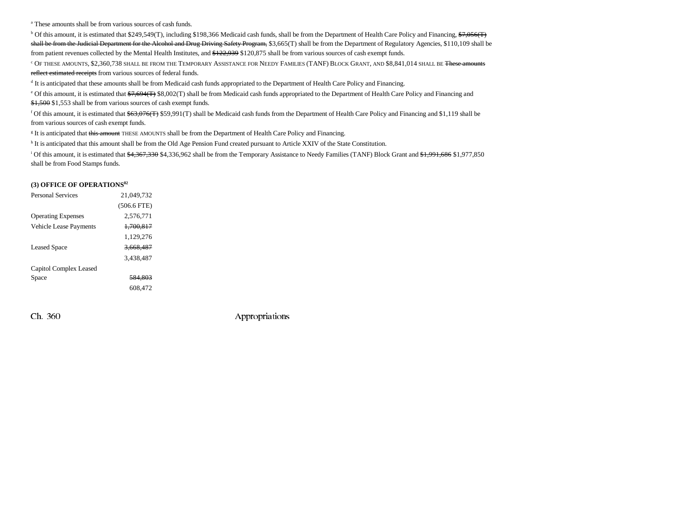a These amounts shall be from various sources of cash funds.

<sup>b</sup> Of this amount, it is estimated that \$249,549(T), including \$198,366 Medicaid cash funds, shall be from the Department of Health Care Policy and Financing, \$7,056(T) shall be from the Judicial Department for the Alcohol and Drug Driving Safety Program, \$3,665(T) shall be from the Department of Regulatory Agencies, \$110,109 shall be from patient revenues collected by the Mental Health Institutes, and \$122,939 \$120,875 shall be from various sources of cash exempt funds.

<sup>c</sup> Of these amounts, \$2,360,738 shall be from the Temporary Assistance for Needy Families (TANF) Block Grant, and \$8,841,014 shall be <del>These amounts</del> reflect estimated receipts from various sources of federal funds.

d It is anticipated that these amounts shall be from Medicaid cash funds appropriated to the Department of Health Care Policy and Financing.

<sup>e</sup> Of this amount, it is estimated that \$7,694(T) \$8,002(T) shall be from Medicaid cash funds appropriated to the Department of Health Care Policy and Financing and \$1,500 \$1,553 shall be from various sources of cash exempt funds.

<sup>f</sup> Of this amount, it is estimated that  $\frac{63,076(T)}{559,991(T)}$  shall be Medicaid cash funds from the Department of Health Care Policy and Financing and \$1,119 shall be from various sources of cash exempt funds.

<sup>g</sup> It is anticipated that this amount THESE AMOUNTS shall be from the Department of Health Care Policy and Financing.

h It is anticipated that this amount shall be from the Old Age Pension Fund created pursuant to Article XXIV of the State Constitution.

<sup>i</sup> Of this amount, it is estimated that \$4,367,330 \$4,336,962 shall be from the Temporary Assistance to Needy Families (TANF) Block Grant and \$1,991,686 \$1,977,850 shall be from Food Stamps funds.

#### **(3) OFFICE OF OPERATIONS82**

| <b>Personal Services</b>  | 21.049.732    |  |
|---------------------------|---------------|--|
|                           | $(506.6$ FTE) |  |
| <b>Operating Expenses</b> | 2,576,771     |  |
| Vehicle Lease Payments    | 1.700.817     |  |
|                           | 1,129,276     |  |
| <b>Leased Space</b>       | 3.668.487     |  |
|                           | 3.438.487     |  |
| Capitol Complex Leased    |               |  |
| Space                     | 584.803       |  |
|                           | 608.472       |  |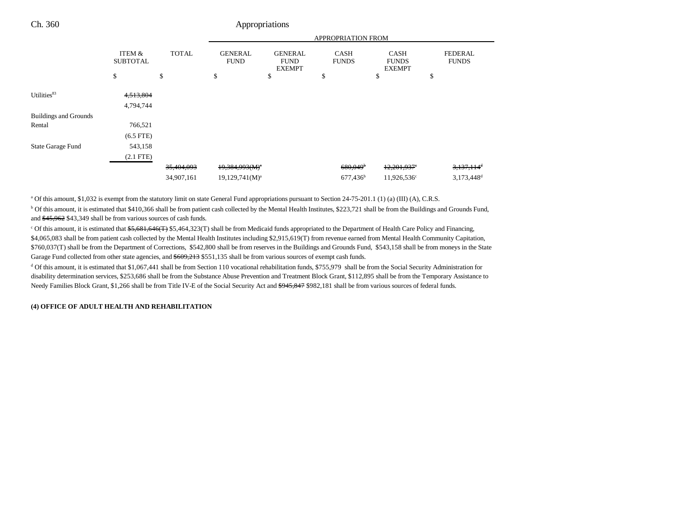|                              |                           |              | <b>APPROPRIATION FROM</b>     |                                                |                             |                                              |                                |  |
|------------------------------|---------------------------|--------------|-------------------------------|------------------------------------------------|-----------------------------|----------------------------------------------|--------------------------------|--|
|                              | ITEM &<br><b>SUBTOTAL</b> | <b>TOTAL</b> | <b>GENERAL</b><br><b>FUND</b> | <b>GENERAL</b><br><b>FUND</b><br><b>EXEMPT</b> | <b>CASH</b><br><b>FUNDS</b> | <b>CASH</b><br><b>FUNDS</b><br><b>EXEMPT</b> | <b>FEDERAL</b><br><b>FUNDS</b> |  |
|                              | \$                        | \$           | \$                            | \$                                             | \$                          | \$                                           | \$                             |  |
| Utilities <sup>83</sup>      | 4,513,804                 |              |                               |                                                |                             |                                              |                                |  |
|                              | 4,794,744                 |              |                               |                                                |                             |                                              |                                |  |
| <b>Buildings and Grounds</b> |                           |              |                               |                                                |                             |                                              |                                |  |
| Rental                       | 766,521                   |              |                               |                                                |                             |                                              |                                |  |
|                              | $(6.5$ FTE $)$            |              |                               |                                                |                             |                                              |                                |  |
| State Garage Fund            | 543,158                   |              |                               |                                                |                             |                                              |                                |  |
|                              | $(2.1$ FTE)               |              |                               |                                                |                             |                                              |                                |  |
|                              |                           | 35,404,093   | $19,384,993(M)^{3}$           |                                                | $680,049$ <sup>b</sup>      | $12,201,937$ <sup>e</sup>                    | $3,137,114$ <sup>d</sup>       |  |
|                              |                           | 34,907,161   | $19,129,741(M)^a$             |                                                | 677,436 <sup>b</sup>        | 11,926,536 <sup>c</sup>                      | $3,173,448$ <sup>d</sup>       |  |

a Of this amount, \$1,032 is exempt from the statutory limit on state General Fund appropriations pursuant to Section 24-75-201.1 (1) (a) (III) (A), C.R.S.

<sup>b</sup> Of this amount, it is estimated that \$410,366 shall be from patient cash collected by the Mental Health Institutes, \$223,721 shall be from the Buildings and Grounds Fund, and \$45,962 \$43,349 shall be from various sources of cash funds.

 $c$  Of this amount, it is estimated that  $$5,681,646$ (T)  $$5,464,323$ (T) shall be from Medicaid funds appropriated to the Department of Health Care Policy and Financing, \$4,065,083 shall be from patient cash collected by the Mental Health Institutes including \$2,915,619(T) from revenue earned from Mental Health Community Capitation, \$760,037(T) shall be from the Department of Corrections, \$542,800 shall be from reserves in the Buildings and Grounds Fund, \$543,158 shall be from moneys in the State Garage Fund collected from other state agencies, and  $$609,213$  \$551,135 shall be from various sources of exempt cash funds.

 $d$  Of this amount, it is estimated that \$1,067,441 shall be from Section 110 vocational rehabilitation funds, \$755,979 shall be from the Social Security Administration for disability determination services, \$253,686 shall be from the Substance Abuse Prevention and Treatment Block Grant, \$112,895 shall be from the Temporary Assistance to Needy Families Block Grant, \$1,266 shall be from Title IV-E of the Social Security Act and \$945,847 \$982,181 shall be from various sources of federal funds.

#### **(4) OFFICE OF ADULT HEALTH AND REHABILITATION**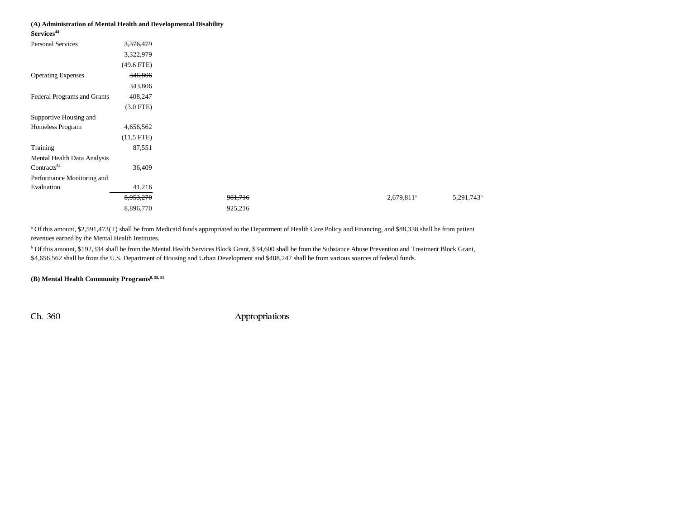# **(A) Administration of Mental Health and Developmental Disability**

**Services<sup>44</sup>**

| <b>Personal Services</b>    | 3,376,479    |         |                        |
|-----------------------------|--------------|---------|------------------------|
|                             | 3,322,979    |         |                        |
|                             | $(49.6$ FTE) |         |                        |
| <b>Operating Expenses</b>   | 346,806      |         |                        |
|                             | 343,806      |         |                        |
| Federal Programs and Grants | 408,247      |         |                        |
|                             | $(3.0$ FTE)  |         |                        |
| Supportive Housing and      |              |         |                        |
| Homeless Program            | 4,656,562    |         |                        |
|                             | $(11.5$ FTE) |         |                        |
| Training                    | 87,551       |         |                        |
| Mental Health Data Analysis |              |         |                        |
| Contracts <sup>84</sup>     | 36,409       |         |                        |
| Performance Monitoring and  |              |         |                        |
| Evaluation                  | 41,216       |         |                        |
|                             | 8,953,270    | 981,716 | 2,679,811 <sup>a</sup> |
|                             | 8,896,770    | 925,216 |                        |
|                             |              |         |                        |

a Of this amount, \$2,591,473(T) shall be from Medicaid funds appropriated to the Department of Health Care Policy and Financing, and \$88,338 shall be from patient revenues earned by the Mental Health Institutes.

<sup>b</sup> Of this amount, \$192,334 shall be from the Mental Health Services Block Grant, \$34,600 shall be from the Substance Abuse Prevention and Treatment Block Grant, \$4,656,562 shall be from the U.S. Department of Housing and Urban Development and \$408,247 shall be from various sources of federal funds.

(B) Mental Health Community Programs<sup>8, 58, 85</sup>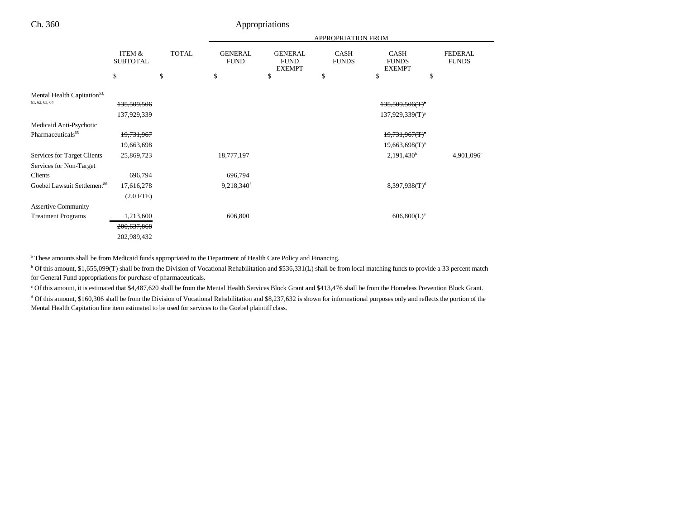|                                         |                           |              | APPROPRIATION FROM            |                                                |                      |                                              |                                |
|-----------------------------------------|---------------------------|--------------|-------------------------------|------------------------------------------------|----------------------|----------------------------------------------|--------------------------------|
|                                         | ITEM &<br><b>SUBTOTAL</b> | <b>TOTAL</b> | <b>GENERAL</b><br><b>FUND</b> | <b>GENERAL</b><br><b>FUND</b><br><b>EXEMPT</b> | CASH<br><b>FUNDS</b> | <b>CASH</b><br><b>FUNDS</b><br><b>EXEMPT</b> | <b>FEDERAL</b><br><b>FUNDS</b> |
|                                         | \$                        | \$           | \$                            | \$                                             | \$                   | \$                                           | \$                             |
| Mental Health Capitation <sup>53,</sup> |                           |              |                               |                                                |                      |                                              |                                |
| 61, 62, 63, 64                          | 135,509,506               |              |                               |                                                |                      | $135,509,506(T)^4$                           |                                |
|                                         | 137,929,339               |              |                               |                                                |                      | $137,929,339(T)^{a}$                         |                                |
| Medicaid Anti-Psychotic                 |                           |              |                               |                                                |                      |                                              |                                |
| Pharmaceuticals <sup>65</sup>           | 19,731,967                |              |                               |                                                |                      | $19,731,967(T)^4$                            |                                |
|                                         | 19,663,698                |              |                               |                                                |                      | $19,663,698(T)^{a}$                          |                                |
| Services for Target Clients             | 25,869,723                |              | 18,777,197                    |                                                |                      | 2,191,430 <sup>b</sup>                       | 4,901,096 <sup>c</sup>         |
| Services for Non-Target                 |                           |              |                               |                                                |                      |                                              |                                |
| Clients                                 | 696,794                   |              | 696,794                       |                                                |                      |                                              |                                |
| Goebel Lawsuit Settlement <sup>86</sup> | 17,616,278                |              | 9,218,340 <sup>f</sup>        |                                                |                      | 8,397,938(T) <sup>d</sup>                    |                                |
|                                         | $(2.0$ FTE $)$            |              |                               |                                                |                      |                                              |                                |
| <b>Assertive Community</b>              |                           |              |                               |                                                |                      |                                              |                                |
| <b>Treatment Programs</b>               | 1,213,600                 |              | 606,800                       |                                                |                      | $606,800(L)^e$                               |                                |
|                                         | 200,637,868               |              |                               |                                                |                      |                                              |                                |
|                                         | 202,989,432               |              |                               |                                                |                      |                                              |                                |

<sup>a</sup> These amounts shall be from Medicaid funds appropriated to the Department of Health Care Policy and Financing.

b Of this amount, \$1,655,099(T) shall be from the Division of Vocational Rehabilitation and \$536,331(L) shall be from local matching funds to provide a 33 percent match for General Fund appropriations for purchase of pharmaceuticals.

c Of this amount, it is estimated that \$4,487,620 shall be from the Mental Health Services Block Grant and \$413,476 shall be from the Homeless Prevention Block Grant.

<sup>d</sup> Of this amount, \$160,306 shall be from the Division of Vocational Rehabilitation and \$8,237,632 is shown for informational purposes only and reflects the portion of the Mental Health Capitation line item estimated to be used for services to the Goebel plaintiff class.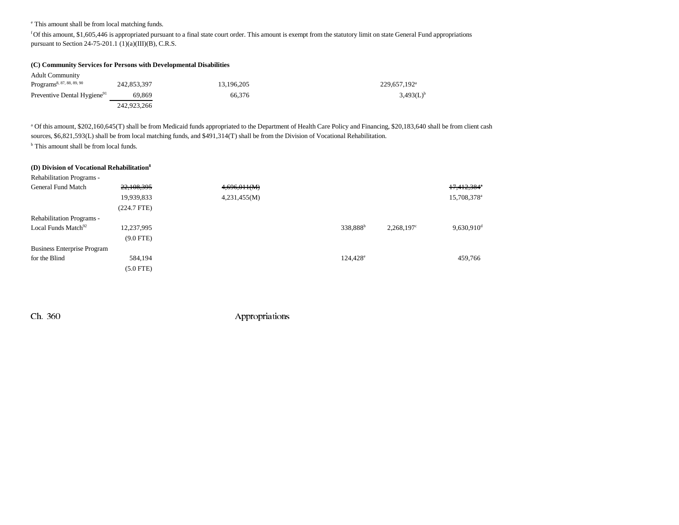e This amount shall be from local matching funds.

f Of this amount, \$1,605,446 is appropriated pursuant to a final state court order. This amount is exempt from the statutory limit on state General Fund appropriations pursuant to Section 24-75-201.1 (1)(a)(III)(B), C.R.S.

#### **(C) Community Services for Persons with Developmental Disabilities**

| <b>Adult Community</b>                  |             |            |                          |
|-----------------------------------------|-------------|------------|--------------------------|
| Programs <sup>8, 87, 88, 89, 90</sup>   | 242,853,397 | 13.196.205 | 229,657,192 <sup>a</sup> |
| Preventive Dental Hygiene <sup>91</sup> | 69.869      | 66.376     | $3,493(L)^{b}$           |
|                                         | 242,923,266 |            |                          |

<sup>a</sup> Of this amount, \$202,160,645(T) shall be from Medicaid funds appropriated to the Department of Health Care Policy and Financing, \$20,183,640 shall be from client cash sources, \$6,821,593(L) shall be from local matching funds, and \$491,314(T) shall be from the Division of Vocational Rehabilitation.

b This amount shall be from local funds.

#### **(D) Division of Vocational Rehabilitation8**

| Rehabilitation Programs -          |                |              |                      |               |                          |
|------------------------------------|----------------|--------------|----------------------|---------------|--------------------------|
| General Fund Match                 | 22,108,395     | 4,696,011(M) |                      |               | 17,412,384 <sup>e</sup>  |
|                                    | 19,939,833     | 4,231,455(M) |                      |               | 15,708,378 <sup>a</sup>  |
|                                    | (224.7 FTE)    |              |                      |               |                          |
| Rehabilitation Programs -          |                |              |                      |               |                          |
| Local Funds Match <sup>92</sup>    | 12,237,995     |              | 338,888 <sup>b</sup> | $2,268,197^c$ | $9,630,910$ <sup>d</sup> |
|                                    | $(9.0$ FTE)    |              |                      |               |                          |
| <b>Business Enterprise Program</b> |                |              |                      |               |                          |
| for the Blind                      | 584,194        |              | $124,428^e$          |               | 459,766                  |
|                                    | $(5.0$ FTE $)$ |              |                      |               |                          |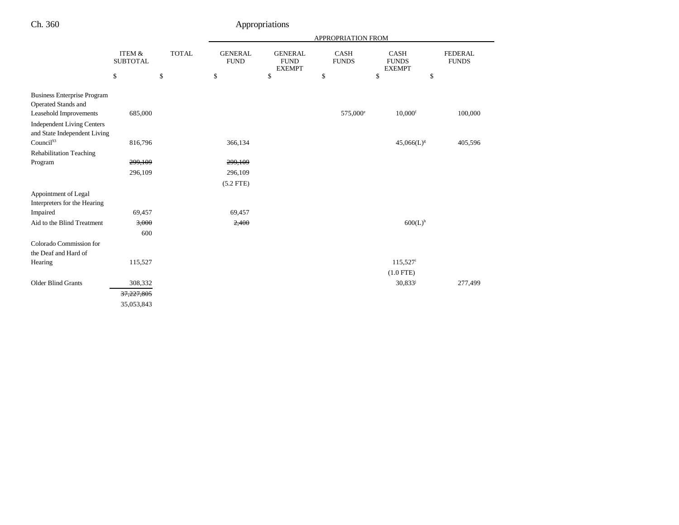| `h. 360 |
|---------|
|         |

# Appropriations

|                                                                   |                           |              | APPROPRIATION FROM            |                                                |                             |                                       |                                |
|-------------------------------------------------------------------|---------------------------|--------------|-------------------------------|------------------------------------------------|-----------------------------|---------------------------------------|--------------------------------|
|                                                                   | ITEM &<br><b>SUBTOTAL</b> | <b>TOTAL</b> | <b>GENERAL</b><br><b>FUND</b> | <b>GENERAL</b><br><b>FUND</b><br><b>EXEMPT</b> | <b>CASH</b><br><b>FUNDS</b> | CASH<br><b>FUNDS</b><br><b>EXEMPT</b> | <b>FEDERAL</b><br><b>FUNDS</b> |
|                                                                   | \$                        | \$           | \$                            | \$                                             | \$                          | \$<br>\$                              |                                |
| <b>Business Enterprise Program</b><br>Operated Stands and         |                           |              |                               |                                                |                             |                                       |                                |
| Leasehold Improvements                                            | 685,000                   |              |                               |                                                | 575,000 <sup>e</sup>        | $10,000$ <sup>f</sup>                 | 100,000                        |
| <b>Independent Living Centers</b><br>and State Independent Living |                           |              |                               |                                                |                             |                                       |                                |
| Council <sup>93</sup>                                             | 816,796                   |              | 366,134                       |                                                |                             | $45,066(L)^{g}$                       | 405,596                        |
| <b>Rehabilitation Teaching</b>                                    |                           |              |                               |                                                |                             |                                       |                                |
| Program                                                           | 299,109                   |              | 299,109                       |                                                |                             |                                       |                                |
|                                                                   | 296,109                   |              | 296,109                       |                                                |                             |                                       |                                |
|                                                                   |                           |              | $(5.2$ FTE)                   |                                                |                             |                                       |                                |
| Appointment of Legal<br>Interpreters for the Hearing              |                           |              |                               |                                                |                             |                                       |                                |
| Impaired                                                          | 69,457                    |              | 69,457                        |                                                |                             |                                       |                                |
| Aid to the Blind Treatment                                        | 3,000                     |              | 2,400                         |                                                |                             | $600(L)$ <sup>h</sup>                 |                                |
|                                                                   | 600                       |              |                               |                                                |                             |                                       |                                |
| Colorado Commission for<br>the Deaf and Hard of                   |                           |              |                               |                                                |                             |                                       |                                |
| Hearing                                                           | 115,527                   |              |                               |                                                |                             | 115,527 <sup>i</sup>                  |                                |
|                                                                   |                           |              |                               |                                                |                             | $(1.0$ FTE)                           |                                |
| <b>Older Blind Grants</b>                                         | 308,332                   |              |                               |                                                |                             | $30,833^{j}$                          | 277,499                        |
|                                                                   | 37,227,805                |              |                               |                                                |                             |                                       |                                |
|                                                                   | 35,053,843                |              |                               |                                                |                             |                                       |                                |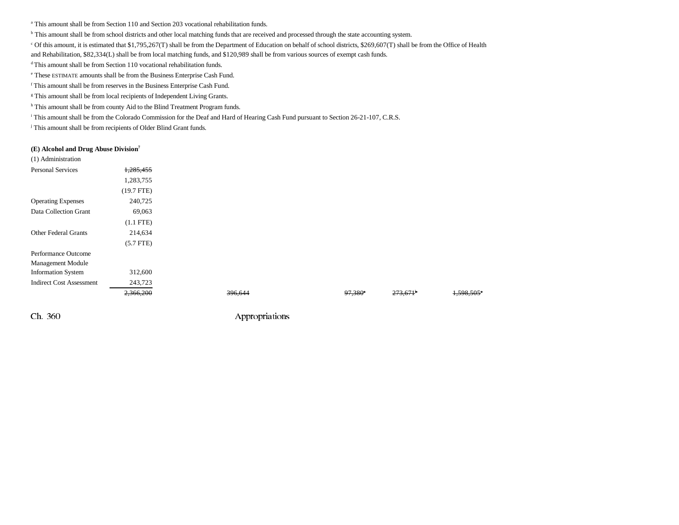a This amount shall be from Section 110 and Section 203 vocational rehabilitation funds.

<sup>b</sup> This amount shall be from school districts and other local matching funds that are received and processed through the state accounting system.

c Of this amount, it is estimated that \$1,795,267(T) shall be from the Department of Education on behalf of school districts, \$269,607(T) shall be from the Office of Health

and Rehabilitation, \$82,334(L) shall be from local matching funds, and \$120,989 shall be from various sources of exempt cash funds.

d This amount shall be from Section 110 vocational rehabilitation funds.

e These ESTIMATE amounts shall be from the Business Enterprise Cash Fund.

f This amount shall be from reserves in the Business Enterprise Cash Fund.

<sup>g</sup> This amount shall be from local recipients of Independent Living Grants.

h This amount shall be from county Aid to the Blind Treatment Program funds.

i This amount shall be from the Colorado Commission for the Deaf and Hard of Hearing Cash Fund pursuant to Section 26-21-107, C.R.S.

<sup>j</sup> This amount shall be from recipients of Older Blind Grant funds.

#### **(E) Alcohol and Drug Abuse Division7**

| (1) Administration              |              |         |                     |                                      |
|---------------------------------|--------------|---------|---------------------|--------------------------------------|
| <b>Personal Services</b>        | 1,285,455    |         |                     |                                      |
|                                 | 1,283,755    |         |                     |                                      |
|                                 | $(19.7$ FTE) |         |                     |                                      |
| <b>Operating Expenses</b>       | 240,725      |         |                     |                                      |
| Data Collection Grant           | 69,063       |         |                     |                                      |
|                                 | $(1.1$ FTE)  |         |                     |                                      |
| <b>Other Federal Grants</b>     | 214,634      |         |                     |                                      |
|                                 | $(5.7$ FTE)  |         |                     |                                      |
| Performance Outcome             |              |         |                     |                                      |
| Management Module               |              |         |                     |                                      |
| <b>Information System</b>       | 312,600      |         |                     |                                      |
| <b>Indirect Cost Assessment</b> | 243,723      |         |                     |                                      |
|                                 | 2,366,200    | 396,644 | 97,380 <sup>*</sup> | $273,671$ <sup>b</sup><br>1,598,505° |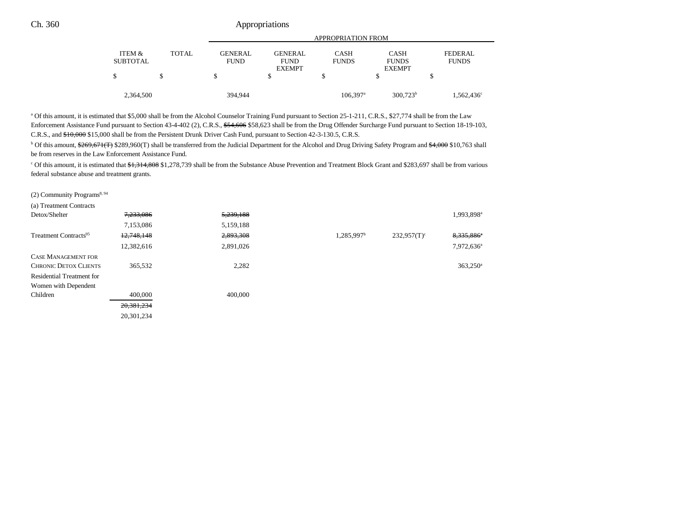|                    |              | <b>APPROPRIATION FROM</b>     |                                                |                             |                                              |                         |  |
|--------------------|--------------|-------------------------------|------------------------------------------------|-----------------------------|----------------------------------------------|-------------------------|--|
| ITEM &<br>SUBTOTAL | <b>TOTAL</b> | <b>GENERAL</b><br><b>FUND</b> | <b>GENERAL</b><br><b>FUND</b><br><b>EXEMPT</b> | <b>CASH</b><br><b>FUNDS</b> | <b>CASH</b><br><b>FUNDS</b><br><b>EXEMPT</b> | FEDERAL<br><b>FUNDS</b> |  |
|                    |              | \$                            |                                                |                             |                                              |                         |  |
| 2,364,500          |              | 394,944                       |                                                | $106,397$ <sup>a</sup>      | $300.723^b$                                  | $1,562,436^{\circ}$     |  |

<sup>a</sup> Of this amount, it is estimated that \$5,000 shall be from the Alcohol Counselor Training Fund pursuant to Section 25-1-211, C.R.S., \$27,774 shall be from the Law Enforcement Assistance Fund pursuant to Section 43-4-402 (2), C.R.S., \$54,606 \$58,623 shall be from the Drug Offender Surcharge Fund pursuant to Section 18-19-103, C.R.S., and \$10,000 \$15,000 shall be from the Persistent Drunk Driver Cash Fund, pursuant to Section 42-3-130.5, C.R.S.

<sup>b</sup> Of this amount, \$269,671(T) \$289,960(T) shall be transferred from the Judicial Department for the Alcohol and Drug Driving Safety Program and \$4,000 \$10,763 shall be from reserves in the Law Enforcement Assistance Fund.

<sup>c</sup> Of this amount, it is estimated that \$1,314,808 \$1,278,739 shall be from the Substance Abuse Prevention and Treatment Block Grant and \$283,697 shall be from various federal substance abuse and treatment grants.

(2) Community Programs<sup>8, 94</sup>

| (a) Treatment Contracts           |              |           |                        |                           |                        |
|-----------------------------------|--------------|-----------|------------------------|---------------------------|------------------------|
| Detox/Shelter                     | 7,233,086    | 5,239,188 |                        |                           | 1,993,898 <sup>a</sup> |
|                                   | 7,153,086    | 5,159,188 |                        |                           |                        |
| Treatment Contracts <sup>95</sup> | 12,748,148   | 2,893,308 | 1,285,997 <sup>b</sup> | $232.957(T)$ <sup>c</sup> | 8,335,886 <sup>a</sup> |
|                                   | 12,382,616   | 2,891,026 |                        |                           | 7,972,636 <sup>a</sup> |
| <b>CASE MANAGEMENT FOR</b>        |              |           |                        |                           |                        |
| <b>CHRONIC DETOX CLIENTS</b>      | 365,532      | 2,282     |                        |                           | $363,250$ <sup>a</sup> |
| Residential Treatment for         |              |           |                        |                           |                        |
| Women with Dependent              |              |           |                        |                           |                        |
| Children                          | 400,000      | 400,000   |                        |                           |                        |
|                                   | 20, 381, 234 |           |                        |                           |                        |
|                                   | 20.301.234   |           |                        |                           |                        |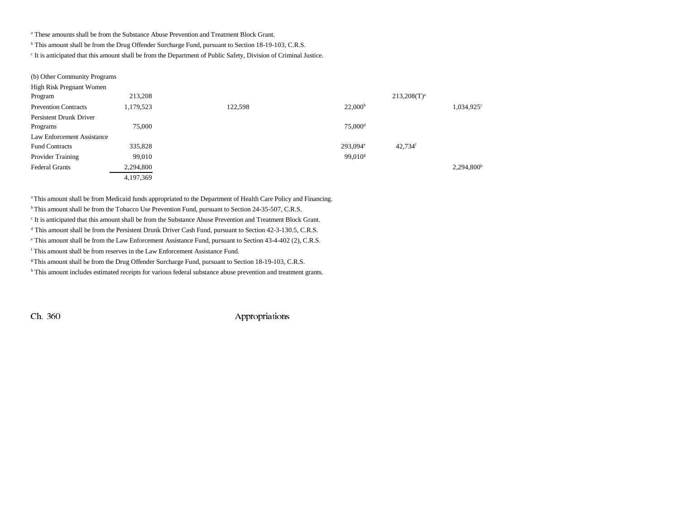a These amounts shall be from the Substance Abuse Prevention and Treatment Block Grant.

b This amount shall be from the Drug Offender Surcharge Fund, pursuant to Section 18-19-103, C.R.S.

c It is anticipated that this amount shall be from the Department of Public Safety, Division of Criminal Justice.

| (b) Other Community Programs |  |
|------------------------------|--|
|------------------------------|--|

| High Risk Pregnant Women    |           |         |                       |                  |                        |
|-----------------------------|-----------|---------|-----------------------|------------------|------------------------|
| Program                     | 213,208   |         |                       | $213,208(T)^{a}$ |                        |
| <b>Prevention Contracts</b> | 1,179,523 | 122,598 | 22,000 <sup>b</sup>   |                  | 1,034,925 <sup>c</sup> |
| Persistent Drunk Driver     |           |         |                       |                  |                        |
| Programs                    | 75,000    |         | $75,000$ <sup>d</sup> |                  |                        |
| Law Enforcement Assistance  |           |         |                       |                  |                        |
| <b>Fund Contracts</b>       | 335,828   |         | 293,094 <sup>e</sup>  | 42,734f          |                        |
| Provider Training           | 99,010    |         | 99,010 <sup>s</sup>   |                  |                        |
| <b>Federal Grants</b>       | 2,294,800 |         |                       |                  | 2,294,800 <sup>h</sup> |
|                             | 4,197,369 |         |                       |                  |                        |

<sup>a</sup> This amount shall be from Medicaid funds appropriated to the Department of Health Care Policy and Financing.

<sup>b</sup> This amount shall be from the Tobacco Use Prevention Fund, pursuant to Section 24-35-507, C.R.S.

c It is anticipated that this amount shall be from the Substance Abuse Prevention and Treatment Block Grant.

d This amount shall be from the Persistent Drunk Driver Cash Fund, pursuant to Section 42-3-130.5, C.R.S.

e This amount shall be from the Law Enforcement Assistance Fund, pursuant to Section 43-4-402 (2), C.R.S.

f This amount shall be from reserves in the Law Enforcement Assistance Fund.

g This amount shall be from the Drug Offender Surcharge Fund, pursuant to Section 18-19-103, C.R.S.

h This amount includes estimated receipts for various federal substance abuse prevention and treatment grants.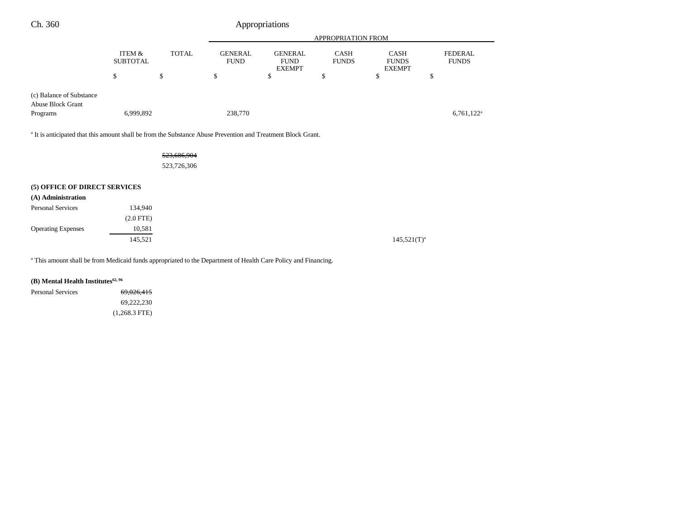| Ch. 360                                                                                                                 |                           |              |                               | Appropriations                                 |                             |                                              |                                |
|-------------------------------------------------------------------------------------------------------------------------|---------------------------|--------------|-------------------------------|------------------------------------------------|-----------------------------|----------------------------------------------|--------------------------------|
|                                                                                                                         |                           |              |                               |                                                | APPROPRIATION FROM          |                                              |                                |
|                                                                                                                         | ITEM &<br><b>SUBTOTAL</b> | <b>TOTAL</b> | <b>GENERAL</b><br><b>FUND</b> | <b>GENERAL</b><br><b>FUND</b><br><b>EXEMPT</b> | <b>CASH</b><br><b>FUNDS</b> | <b>CASH</b><br><b>FUNDS</b><br><b>EXEMPT</b> | <b>FEDERAL</b><br><b>FUNDS</b> |
|                                                                                                                         | \$                        | \$           | \$                            | \$                                             | \$                          | \$                                           | \$                             |
| (c) Balance of Substance<br><b>Abuse Block Grant</b><br>Programs                                                        | 6,999,892                 |              | 238,770                       |                                                |                             |                                              | $6,761,122$ <sup>a</sup>       |
|                                                                                                                         |                           |              |                               |                                                |                             |                                              |                                |
| <sup>a</sup> It is anticipated that this amount shall be from the Substance Abuse Prevention and Treatment Block Grant. |                           |              |                               |                                                |                             |                                              |                                |
|                                                                                                                         |                           | 523,686,904  |                               |                                                |                             |                                              |                                |
|                                                                                                                         |                           | 523,726,306  |                               |                                                |                             |                                              |                                |
| (5) OFFICE OF DIRECT SERVICES                                                                                           |                           |              |                               |                                                |                             |                                              |                                |
| (A) Administration                                                                                                      |                           |              |                               |                                                |                             |                                              |                                |
| <b>Personal Services</b>                                                                                                | 134,940                   |              |                               |                                                |                             |                                              |                                |
|                                                                                                                         | $(2.0$ FTE $)$            |              |                               |                                                |                             |                                              |                                |
| <b>Operating Expenses</b>                                                                                               | 10,581                    |              |                               |                                                |                             |                                              |                                |
|                                                                                                                         | 145,521                   |              |                               |                                                |                             | $145,521(T)^a$                               |                                |

<sup>a</sup> This amount shall be from Medicaid funds appropriated to the Department of Health Care Policy and Financing.

## **(B)** Mental Health Institutes<sup>62, 96</sup>

| Personal Services | 69,026,415      |
|-------------------|-----------------|
|                   | 69.222.230      |
|                   | $(1,268.3$ FTE) |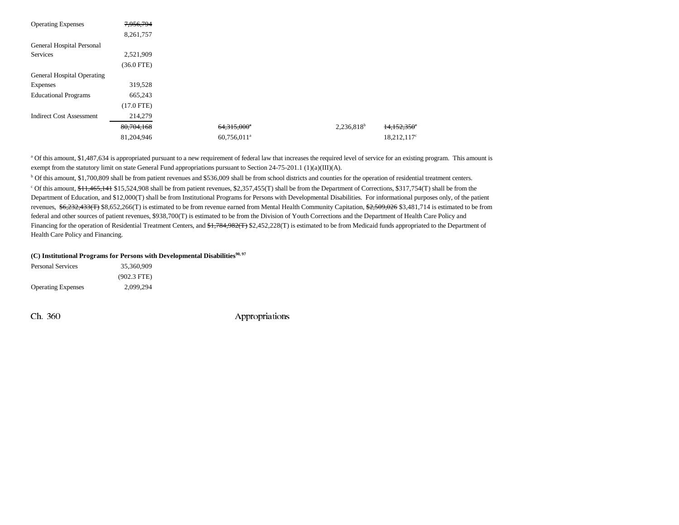| <b>Operating Expenses</b>       | 7,956,794    |                         |               |                |
|---------------------------------|--------------|-------------------------|---------------|----------------|
|                                 | 8,261,757    |                         |               |                |
| General Hospital Personal       |              |                         |               |                |
| <b>Services</b>                 | 2,521,909    |                         |               |                |
|                                 | $(36.0$ FTE) |                         |               |                |
| General Hospital Operating      |              |                         |               |                |
| <b>Expenses</b>                 | 319,528      |                         |               |                |
| <b>Educational Programs</b>     | 665,243      |                         |               |                |
|                                 | $(17.0$ FTE) |                         |               |                |
| <b>Indirect Cost Assessment</b> | 214,279      |                         |               |                |
|                                 | 80,704,168   | 64,315,000 <sup>e</sup> | $2,236,818^b$ | 14,152,350°    |
|                                 | 81,204,946   | 60,756,011 <sup>a</sup> |               | $18,212,117$ ° |

a Of this amount, \$1,487,634 is appropriated pursuant to a new requirement of federal law that increases the required level of service for an existing program. This amount is exempt from the statutory limit on state General Fund appropriations pursuant to Section 24-75-201.1 (1)(a)(III)(A).

b Of this amount, \$1,700,809 shall be from patient revenues and \$536,009 shall be from school districts and counties for the operation of residential treatment centers.

<sup>c</sup> Of this amount, \$11,465,141 \$15,524,908 shall be from patient revenues, \$2,357,455(T) shall be from the Department of Corrections, \$317,754(T) shall be from the Department of Education, and \$12,000(T) shall be from Institutional Programs for Persons with Developmental Disabilities. For informational purposes only, of the patient revenues,  $$6,232,433$ (T) \$8,652,266(T) is estimated to be from revenue earned from Mental Health Community Capitation, \$2,509,026 \$3,481,714 is estimated to be from federal and other sources of patient revenues, \$938,700(T) is estimated to be from the Division of Youth Corrections and the Department of Health Care Policy and Financing for the operation of Residential Treatment Centers, and \$1,784,982(T) \$2,452,228(T) is estimated to be from Medicaid funds appropriated to the Department of Health Care Policy and Financing.

#### (C) Institutional Programs for Persons with Developmental Disabilities<sup>90, 97</sup>

| Personal Services         | 35,360,909    |  |
|---------------------------|---------------|--|
|                           | $(902.3$ FTE) |  |
| <b>Operating Expenses</b> | 2,099,294     |  |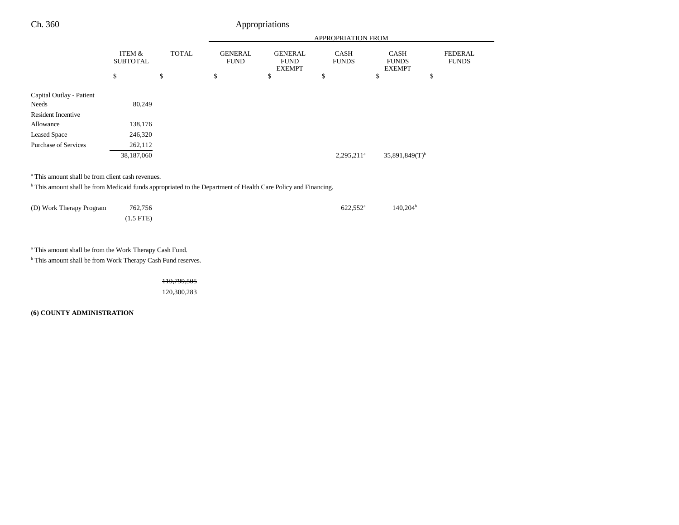|                             |                           |              | APPROPRIATION FROM            |                                                |                          |                                              |                                |
|-----------------------------|---------------------------|--------------|-------------------------------|------------------------------------------------|--------------------------|----------------------------------------------|--------------------------------|
|                             | ITEM &<br><b>SUBTOTAL</b> | <b>TOTAL</b> | <b>GENERAL</b><br><b>FUND</b> | <b>GENERAL</b><br><b>FUND</b><br><b>EXEMPT</b> | CASH<br><b>FUNDS</b>     | <b>CASH</b><br><b>FUNDS</b><br><b>EXEMPT</b> | <b>FEDERAL</b><br><b>FUNDS</b> |
|                             | \$                        | \$           | \$                            | \$                                             | \$                       | \$                                           | \$                             |
| Capital Outlay - Patient    |                           |              |                               |                                                |                          |                                              |                                |
| Needs                       | 80,249                    |              |                               |                                                |                          |                                              |                                |
| <b>Resident Incentive</b>   |                           |              |                               |                                                |                          |                                              |                                |
| Allowance                   | 138,176                   |              |                               |                                                |                          |                                              |                                |
| <b>Leased Space</b>         | 246,320                   |              |                               |                                                |                          |                                              |                                |
| <b>Purchase of Services</b> | 262,112                   |              |                               |                                                |                          |                                              |                                |
|                             | 38,187,060                |              |                               |                                                | $2,295,211$ <sup>a</sup> | $35,891,849(T)$ <sup>b</sup>                 |                                |
|                             |                           |              |                               |                                                |                          |                                              |                                |
|                             |                           |              |                               |                                                |                          |                                              |                                |

a This amount shall be from client cash revenues.

b This amount shall be from Medicaid funds appropriated to the Department of Health Care Policy and Financing.

| 762,756<br>(D) Work Therapy Program |             | $622.552^{\circ}$ | 140.204 <sup>b</sup> |
|-------------------------------------|-------------|-------------------|----------------------|
|                                     | $(1.5$ FTE) |                   |                      |

a This amount shall be from the Work Therapy Cash Fund.

 $^{\rm b}$  This amount shall be from Work Therapy Cash Fund reserves.

119,799,505

120,300,283

**(6) COUNTY ADMINISTRATION**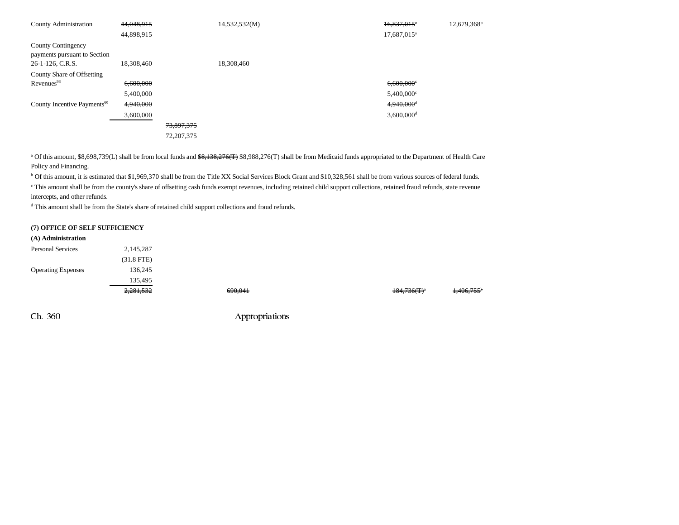| <b>County Administration</b>                       | 44,048,915 |              | 14,532,532(M) | $16,837,015$ <sup>*</sup> | $12,679,368^{\text{h}}$ |
|----------------------------------------------------|------------|--------------|---------------|---------------------------|-------------------------|
|                                                    | 44,898,915 |              |               | 17,687,015 <sup>a</sup>   |                         |
| County Contingency<br>payments pursuant to Section |            |              |               |                           |                         |
| 26-1-126, C.R.S.                                   | 18,308,460 |              | 18,308,460    |                           |                         |
| County Share of Offsetting                         |            |              |               |                           |                         |
| Revenues <sup>98</sup>                             | 6.600.000  |              |               | $6,600,000$ <sup>c</sup>  |                         |
|                                                    | 5,400,000  |              |               | $5,400,000$ <sup>c</sup>  |                         |
| County Incentive Payments <sup>99</sup>            | 4,940,000  |              |               | $4,940,000$ <sup>d</sup>  |                         |
|                                                    | 3,600,000  |              |               | $3,600,000$ <sup>d</sup>  |                         |
|                                                    |            | 73,897,375   |               |                           |                         |
|                                                    |            | 72, 207, 375 |               |                           |                         |

<sup>a</sup> Of this amount, \$8,698,739(L) shall be from local funds and \$8,138,276(T) \$8,988,276(T) shall be from Medicaid funds appropriated to the Department of Health Care Policy and Financing.

<sup>b</sup> Of this amount, it is estimated that \$1,969,370 shall be from the Title XX Social Services Block Grant and \$10,328,561 shall be from various sources of federal funds.

c This amount shall be from the county's share of offsetting cash funds exempt revenues, including retained child support collections, retained fraud refunds, state revenue intercepts, and other refunds.

d This amount shall be from the State's share of retained child support collections and fraud refunds.

#### **(7) OFFICE OF SELF SUFFICIENCY**

| (A) Administration        |              |  |
|---------------------------|--------------|--|
| <b>Personal Services</b>  | 2,145,287    |  |
|                           | $(31.8$ FTE) |  |
| <b>Operating Expenses</b> | 136.245      |  |
|                           | 135.495      |  |
|                           |              |  |

2,281,532 690,041 184,736(T)a 1,406,755<sup>b</sup>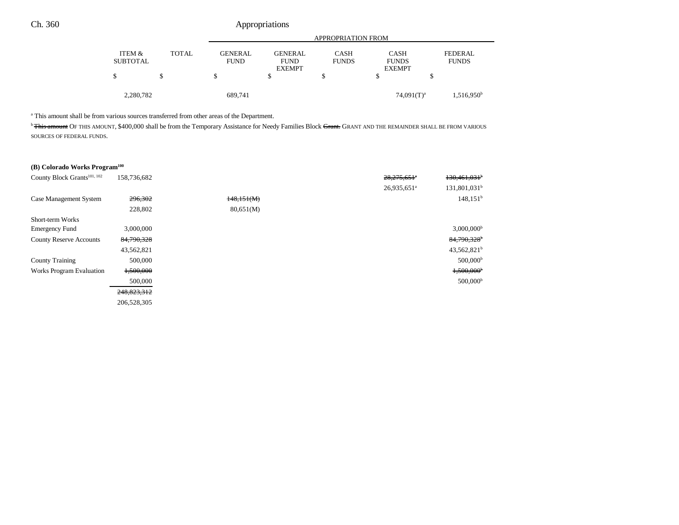|                           |              | <b>APPROPRIATION FROM</b>     |                                                |                             |                                              |                          |  |
|---------------------------|--------------|-------------------------------|------------------------------------------------|-----------------------------|----------------------------------------------|--------------------------|--|
| ITEM &<br><b>SUBTOTAL</b> | <b>TOTAL</b> | <b>GENERAL</b><br><b>FUND</b> | <b>GENERAL</b><br><b>FUND</b><br><b>EXEMPT</b> | <b>CASH</b><br><b>FUNDS</b> | <b>CASH</b><br><b>FUNDS</b><br><b>EXEMPT</b> | FEDERAL.<br><b>FUNDS</b> |  |
| \$                        |              | \$                            |                                                |                             |                                              | \$                       |  |
| 2,280,782                 |              | 689,741                       |                                                |                             | $74,091(T)^a$                                | $1,516,950^{\rm b}$      |  |

a This amount shall be from various sources transferred from other areas of the Department.

<sup>b</sup> This amount OF THIS AMOUNT, \$400,000 shall be from the Temporary Assistance for Needy Families Block Grant. GRANT AND THE REMAINDER SHALL BE FROM VARIOUS SOURCES OF FEDERAL FUNDS.

## **(B) Colorado Works Program100**

| County Block Grants <sup>101, 102</sup> | 158,736,682 |            | 28,275,651*             | $130,461,031$ <sup>b</sup> |
|-----------------------------------------|-------------|------------|-------------------------|----------------------------|
|                                         |             |            | 26,935,651 <sup>a</sup> | 131,801,031 <sup>b</sup>   |
| Case Management System                  | 296,302     | 148,151(M) |                         | 148.151 <sup>b</sup>       |
|                                         | 228,802     | 80,651(M)  |                         |                            |
| Short-term Works                        |             |            |                         |                            |
| <b>Emergency Fund</b>                   | 3,000,000   |            |                         | $3,000,000$ <sup>b</sup>   |
| <b>County Reserve Accounts</b>          | 84,790,328  |            |                         | 84,790,328 <sup>b</sup>    |
|                                         | 43,562,821  |            |                         | $43,562,821^b$             |
| <b>County Training</b>                  | 500,000     |            |                         | $500,000^{\rm b}$          |
| <b>Works Program Evaluation</b>         | 1,500,000   |            |                         | $1,500,000$ <sup>b</sup>   |
|                                         | 500,000     |            |                         | $500,000^{\rm b}$          |
|                                         | 248,823,312 |            |                         |                            |
|                                         | 206,528,305 |            |                         |                            |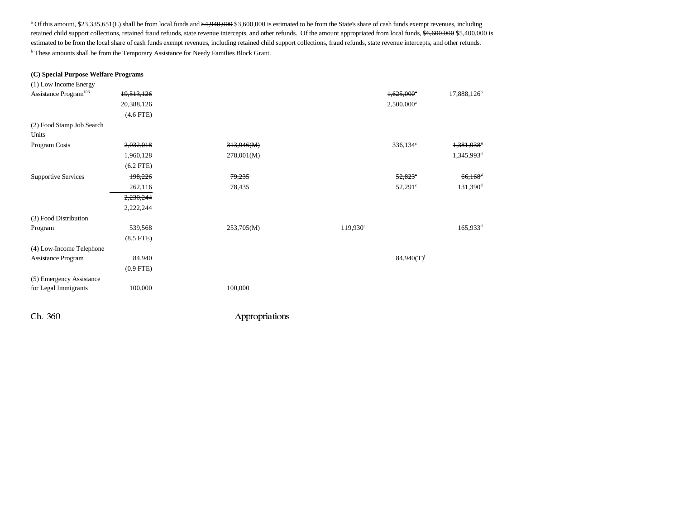<sup>a</sup> Of this amount, \$23,335,651(L) shall be from local funds and \$4,940,000 \$3,600,000 is estimated to be from the State's share of cash funds exempt revenues, including retained child support collections, retained fraud refunds, state revenue intercepts, and other refunds. Of the amount appropriated from local funds, \$6,600,000 \$5,400,000 is estimated to be from the local share of cash funds exempt revenues, including retained child support collections, fraud refunds, state revenue intercepts, and other refunds. b These amounts shall be from the Temporary Assistance for Needy Families Block Grant.

#### **(C) Special Purpose Welfare Programs**

| (1) Low Income Energy             |                |            |                      |                          |                         |
|-----------------------------------|----------------|------------|----------------------|--------------------------|-------------------------|
| Assistance Program <sup>103</sup> | 19,513,126     |            |                      | $1,625,000$ <sup>e</sup> | 17,888,126 <sup>b</sup> |
|                                   | 20,388,126     |            |                      | $2,500,000$ <sup>a</sup> |                         |
|                                   | $(4.6$ FTE)    |            |                      |                          |                         |
| (2) Food Stamp Job Search         |                |            |                      |                          |                         |
| Units                             |                |            |                      |                          |                         |
| Program Costs                     | 2,032,018      | 313,946(M) |                      | $336,134$ c              | 1,381,938 <sup>d</sup>  |
|                                   | 1,960,128      | 278,001(M) |                      |                          | 1,345,993 <sup>d</sup>  |
|                                   | $(6.2$ FTE)    |            |                      |                          |                         |
| <b>Supportive Services</b>        | 198,226        | 79,235     |                      | 52,823                   | $66,168$ <sup>d</sup>   |
|                                   | 262,116        | 78,435     |                      | $52,291^{\circ}$         | 131,390 <sup>d</sup>    |
|                                   | 2,230,244      |            |                      |                          |                         |
|                                   | 2,222,244      |            |                      |                          |                         |
| (3) Food Distribution             |                |            |                      |                          |                         |
| Program                           | 539,568        | 253,705(M) | 119,930 <sup>e</sup> |                          | 165,933 <sup>d</sup>    |
|                                   | $(8.5$ FTE $)$ |            |                      |                          |                         |
| (4) Low-Income Telephone          |                |            |                      |                          |                         |
| Assistance Program                | 84,940         |            |                      | $84,940(T)$ <sup>f</sup> |                         |
|                                   | $(0.9$ FTE)    |            |                      |                          |                         |
| (5) Emergency Assistance          |                |            |                      |                          |                         |
| for Legal Immigrants              | 100,000        | 100,000    |                      |                          |                         |
|                                   |                |            |                      |                          |                         |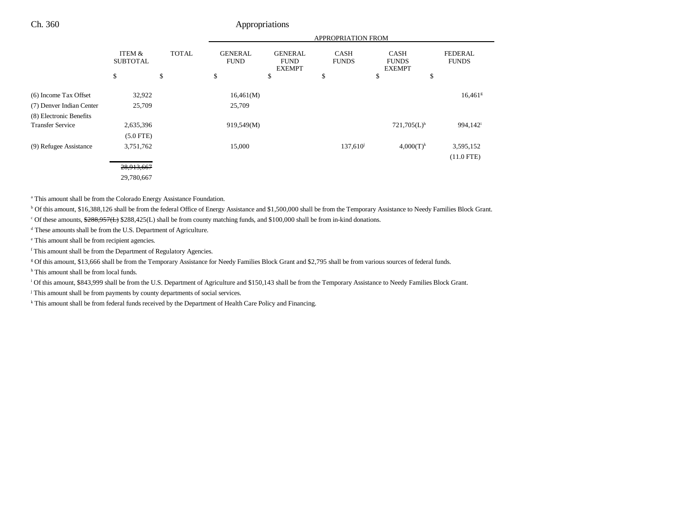|                          |                           |              | <b>APPROPRIATION FROM</b>     |                                                |                             |                                              |                                |
|--------------------------|---------------------------|--------------|-------------------------------|------------------------------------------------|-----------------------------|----------------------------------------------|--------------------------------|
|                          | ITEM &<br><b>SUBTOTAL</b> | <b>TOTAL</b> | <b>GENERAL</b><br><b>FUND</b> | <b>GENERAL</b><br><b>FUND</b><br><b>EXEMPT</b> | <b>CASH</b><br><b>FUNDS</b> | <b>CASH</b><br><b>FUNDS</b><br><b>EXEMPT</b> | <b>FEDERAL</b><br><b>FUNDS</b> |
|                          | \$                        | \$           | \$                            | \$                                             | \$                          | \$                                           | \$                             |
| (6) Income Tax Offset    | 32,922                    |              | 16,461(M)                     |                                                |                             |                                              | $16,461$ <sup>g</sup>          |
| (7) Denver Indian Center | 25,709                    |              | 25,709                        |                                                |                             |                                              |                                |
| (8) Electronic Benefits  |                           |              |                               |                                                |                             |                                              |                                |
| <b>Transfer Service</b>  | 2,635,396                 |              | 919,549(M)                    |                                                |                             | $721,705(L)$ <sup>h</sup>                    | 994,142 <sup>i</sup>           |
|                          | $(5.0$ FTE)               |              |                               |                                                |                             |                                              |                                |
| (9) Refugee Assistance   | 3,751,762                 |              | 15,000                        |                                                | 137,610 <sup>j</sup>        | $4,000(T)^k$                                 | 3,595,152                      |
|                          |                           |              |                               |                                                |                             |                                              | $(11.0$ FTE)                   |
|                          | 28,913,667                |              |                               |                                                |                             |                                              |                                |
|                          | 29,780,667                |              |                               |                                                |                             |                                              |                                |

a This amount shall be from the Colorado Energy Assistance Foundation.

b Of this amount, \$16,388,126 shall be from the federal Office of Energy Assistance and \$1,500,000 shall be from the Temporary Assistance to Needy Families Block Grant.

<sup>c</sup> Of these amounts,  $\frac{288}{288,957(L)}$  \$288,425(L) shall be from county matching funds, and \$100,000 shall be from in-kind donations.

d These amounts shall be from the U.S. Department of Agriculture.

e This amount shall be from recipient agencies.

f This amount shall be from the Department of Regulatory Agencies.

g Of this amount, \$13,666 shall be from the Temporary Assistance for Needy Families Block Grant and \$2,795 shall be from various sources of federal funds.

<sup>h</sup> This amount shall be from local funds.

i Of this amount, \$843,999 shall be from the U.S. Department of Agriculture and \$150,143 shall be from the Temporary Assistance to Needy Families Block Grant.

<sup>j</sup> This amount shall be from payments by county departments of social services.

<sup>k</sup> This amount shall be from federal funds received by the Department of Health Care Policy and Financing.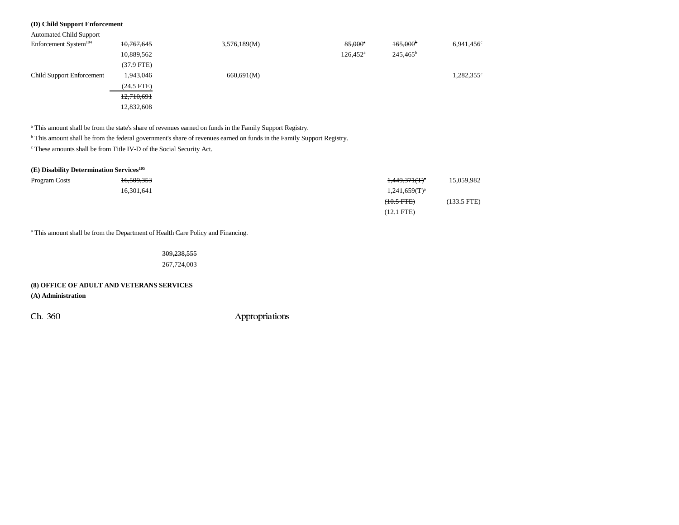## **(D) Child Support Enforcement**

| <b>Automated Child Support</b>    |              |              |                       |                   |                     |
|-----------------------------------|--------------|--------------|-----------------------|-------------------|---------------------|
| Enforcement System <sup>104</sup> | 10,767,645   | 3,576,189(M) | $85,000$ <sup>a</sup> | $165,000^{\circ}$ | $6.941.456^{\circ}$ |
|                                   | 10,889,562   |              | $126,452^{\circ}$     | $245,465^{\rm b}$ |                     |
|                                   | $(37.9$ FTE) |              |                       |                   |                     |
| <b>Child Support Enforcement</b>  | 1,943,046    | 660,691(M)   |                       |                   | 1,282,355°          |
|                                   | $(24.5$ FTE) |              |                       |                   |                     |
|                                   | 12,710,691   |              |                       |                   |                     |
|                                   | 12,832,608   |              |                       |                   |                     |

a This amount shall be from the state's share of revenues earned on funds in the Family Support Registry.

b This amount shall be from the federal government's share of revenues earned on funds in the Family Support Registry.

c These amounts shall be from Title IV-D of the Social Security Act.

| $(E)$ Disability Determination Services <sup>105</sup> |            |                    |             |
|--------------------------------------------------------|------------|--------------------|-------------|
| Program Costs                                          | 16,509,353 | $1,449,371(T)^4$   | 15,059,982  |
|                                                        | 16.301.641 | $1,241,659(T)^{a}$ |             |
|                                                        |            | $(10.5$ FTE $)$    | (133.5 FTE) |
|                                                        |            | $(12.1$ FTE)       |             |

<sup>a</sup> This amount shall be from the Department of Health Care Policy and Financing.

309,238,555

267,724,003

## **(8) OFFICE OF ADULT AND VETERANS SERVICES**

**(A) Administration**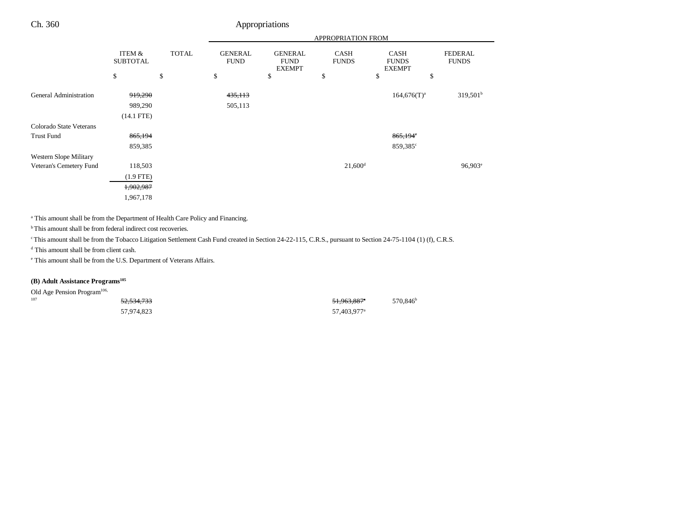|                         |                           |              |                               |                                                | APPROPRIATION FROM          |                                              |                         |
|-------------------------|---------------------------|--------------|-------------------------------|------------------------------------------------|-----------------------------|----------------------------------------------|-------------------------|
|                         | ITEM &<br><b>SUBTOTAL</b> | <b>TOTAL</b> | <b>GENERAL</b><br><b>FUND</b> | <b>GENERAL</b><br><b>FUND</b><br><b>EXEMPT</b> | <b>CASH</b><br><b>FUNDS</b> | <b>CASH</b><br><b>FUNDS</b><br><b>EXEMPT</b> | FEDERAL<br><b>FUNDS</b> |
|                         | \$                        | \$           | \$                            | \$                                             | \$                          | \$                                           | \$                      |
| General Administration  | 919,290                   |              | 435,113                       |                                                |                             | $164,676(T)^a$                               | $319,501^b$             |
|                         | 989,290                   |              | 505,113                       |                                                |                             |                                              |                         |
|                         | $(14.1$ FTE)              |              |                               |                                                |                             |                                              |                         |
| Colorado State Veterans |                           |              |                               |                                                |                             |                                              |                         |
| <b>Trust Fund</b>       | 865,194                   |              |                               |                                                |                             | 865,194°                                     |                         |
|                         | 859,385                   |              |                               |                                                |                             | 859,385°                                     |                         |
| Western Slope Military  |                           |              |                               |                                                |                             |                                              |                         |
| Veteran's Cemetery Fund | 118,503                   |              |                               |                                                | $21,600$ <sup>d</sup>       |                                              | $96,903^e$              |
|                         | $(1.9$ FTE)               |              |                               |                                                |                             |                                              |                         |
|                         | 1,902,987                 |              |                               |                                                |                             |                                              |                         |
|                         | 1,967,178                 |              |                               |                                                |                             |                                              |                         |

<sup>a</sup> This amount shall be from the Department of Health Care Policy and Financing.

<sup>b</sup> This amount shall be from federal indirect cost recoveries.

<sup>e</sup> This amount shall be from the Tobacco Litigation Settlement Cash Fund created in Section 24-22-115, C.R.S., pursuant to Section 24-75-1104 (1) (f), C.R.S.

d This amount shall be from client cash.

e This amount shall be from the U.S. Department of Veterans Affairs.

## **(B) Adult Assistance Programs**<sup>105</sup>

| Old Age Pension Program <sup>106,</sup> |                       |                         |                      |
|-----------------------------------------|-----------------------|-------------------------|----------------------|
| 107                                     | <del>52.534.733</del> | <del>51.963.887</del> * | 570.846 <sup>t</sup> |
|                                         | 57.974.823            | 57,403,977 <sup>a</sup> |                      |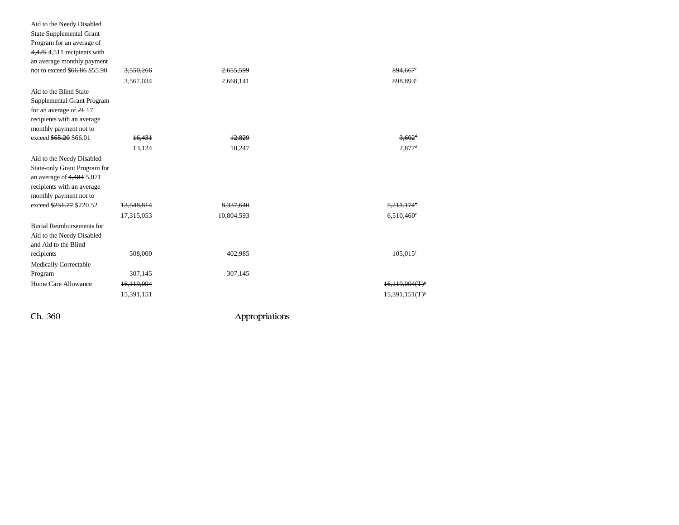| Aid to the Needy Disabled<br><b>State Supplemental Grant</b><br>Program for an average of<br>4,425 4,511 recipients with<br>an average monthly payment<br>not to exceed \$66.86 \$55.90 | <del>3,550,266</del><br>3,567,034 | <del>2.655.599</del><br>2,668,141 | 894.667°<br>898,893°     |
|-----------------------------------------------------------------------------------------------------------------------------------------------------------------------------------------|-----------------------------------|-----------------------------------|--------------------------|
| Aid to the Blind State                                                                                                                                                                  |                                   |                                   |                          |
| Supplemental Grant Program                                                                                                                                                              |                                   |                                   |                          |
| for an average of 21 17                                                                                                                                                                 |                                   |                                   |                          |
| recipients with an average                                                                                                                                                              |                                   |                                   |                          |
| monthly payment not to                                                                                                                                                                  |                                   |                                   |                          |
| exceed \$65.20 \$66.01                                                                                                                                                                  | 16,431                            | 12.829                            | $3,602$ <sup>d</sup>     |
|                                                                                                                                                                                         | 13,124                            | 10,247                            | $2,877$ <sup>d</sup>     |
| Aid to the Needy Disabled<br>State-only Grant Program for                                                                                                                               |                                   |                                   |                          |
| an average of $4,484$ 5,071                                                                                                                                                             |                                   |                                   |                          |
| recipients with an average                                                                                                                                                              |                                   |                                   |                          |
| monthly payment not to                                                                                                                                                                  |                                   |                                   |                          |
| exceed \$251.77 \$220.52                                                                                                                                                                | 13.548.814                        |                                   | 5,211,1                  |
|                                                                                                                                                                                         | 17,315,053                        | 10,804,593                        | $6,510,460$ <sup>e</sup> |
| <b>Burial Reimbursements for</b><br>Aid to the Needy Disabled<br>and Aid to the Blind                                                                                                   |                                   |                                   |                          |
| recipients                                                                                                                                                                              | 508,000                           | 402,985                           | $105,015$ <sup>f</sup>   |
| Medically Correctable                                                                                                                                                                   |                                   |                                   |                          |
| Program                                                                                                                                                                                 | 307,145                           | 307,145                           |                          |
| Home Care Allowance                                                                                                                                                                     | 16,119,094                        |                                   | $16,119,094(T)^8$        |
|                                                                                                                                                                                         | 15,391,151                        |                                   | $15,391,151(T)^{g}$      |
| Ch. 360                                                                                                                                                                                 |                                   | Appropriations                    |                          |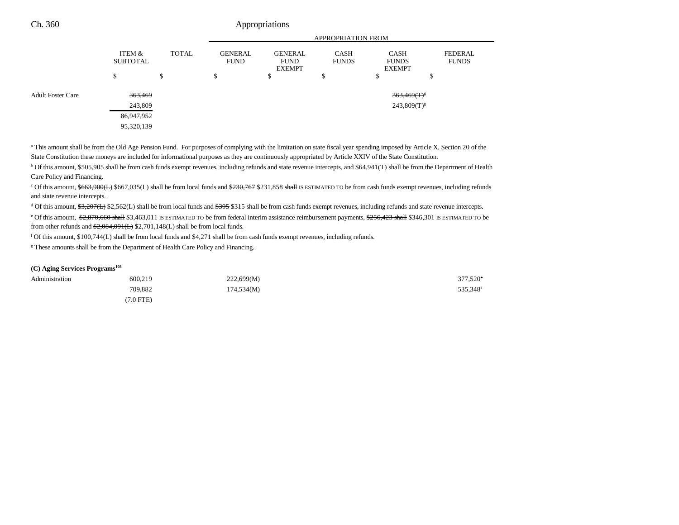|                          |                           |              | <b>APPROPRIATION FROM</b>     |                                                                               |    |                                              |                                |  |
|--------------------------|---------------------------|--------------|-------------------------------|-------------------------------------------------------------------------------|----|----------------------------------------------|--------------------------------|--|
|                          | ITEM &<br><b>SUBTOTAL</b> | <b>TOTAL</b> | <b>GENERAL</b><br><b>FUND</b> | <b>GENERAL</b><br><b>CASH</b><br><b>FUNDS</b><br><b>FUND</b><br><b>EXEMPT</b> |    | <b>CASH</b><br><b>FUNDS</b><br><b>EXEMPT</b> | <b>FEDERAL</b><br><b>FUNDS</b> |  |
|                          | \$                        | \$           | \$                            | \$                                                                            | \$ | ¢<br>Φ                                       | ¢<br>Φ                         |  |
| <b>Adult Foster Care</b> |                           | 363,469      |                               |                                                                               |    | $363,469$ (T) <sup>8</sup>                   |                                |  |
|                          |                           | 243,809      |                               |                                                                               |    | $243,809(T)^{g}$                             |                                |  |
|                          | 86,947,952                |              |                               |                                                                               |    |                                              |                                |  |
|                          | 95,320,139                |              |                               |                                                                               |    |                                              |                                |  |

<sup>a</sup> This amount shall be from the Old Age Pension Fund. For purposes of complying with the limitation on state fiscal year spending imposed by Article X, Section 20 of the State Constitution these moneys are included for informational purposes as they are continuously appropriated by Article XXIV of the State Constitution.

b Of this amount, \$505,905 shall be from cash funds exempt revenues, including refunds and state revenue intercepts, and \$64,941(T) shall be from the Department of Health Care Policy and Financing.

<sup>c</sup> Of this amount, \$663,900(L) \$667,035(L) shall be from local funds and \$230,767 \$231,858 shall IS ESTIMATED TO be from cash funds exempt revenues, including refunds and state revenue intercepts.

<sup>d</sup> Of this amount, \$3,207(L) \$2,562(L) shall be from local funds and \$395 \$315 shall be from cash funds exempt revenues, including refunds and state revenue intercepts. <sup>e</sup> Of this amount, \$2,870,660 shall \$3,463,011 IS ESTIMATED TO be from federal interim assistance reimbursement payments, \$256,423 shall \$346,301 IS ESTIMATED TO be from other refunds and \$2,084,091(L) \$2,701,148(L) shall be from local funds.

f Of this amount, \$100,744(L) shall be from local funds and \$4,271 shall be from cash funds exempt revenues, including refunds.

<sup>g</sup> These amounts shall be from the Department of Health Care Policy and Financing.

#### **(C) Aging Services Programs108**

| Administration | 600,219     | 222,699(M) | 377,520 |
|----------------|-------------|------------|---------|
|                | 709,882     | 174,534(M) | 535,348 |
|                | $(7.0$ FTE) |            |         |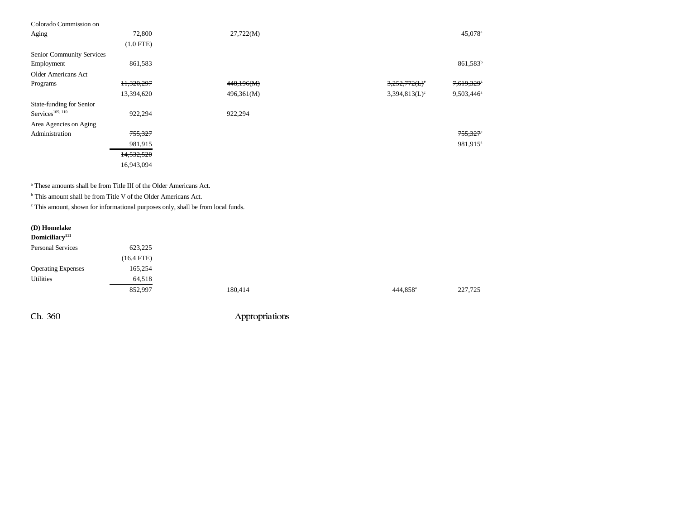| Colorado Commission on           |             |            |                             |                        |
|----------------------------------|-------------|------------|-----------------------------|------------------------|
| Aging                            | 72,800      | 27,722(M)  |                             | 45,078 <sup>a</sup>    |
|                                  | $(1.0$ FTE) |            |                             |                        |
| <b>Senior Community Services</b> |             |            |                             |                        |
| Employment                       | 861,583     |            |                             | 861,583 <sup>b</sup>   |
| Older Americans Act              |             |            |                             |                        |
| Programs                         | 11,320,297  | 448,196(M) | $3,252,772\times$           | 7,619,329 <sup>a</sup> |
|                                  | 13,394,620  | 496,361(M) | $3,394,813(L)$ <sup>c</sup> | $9,503,446^{\circ}$    |
| State-funding for Senior         |             |            |                             |                        |
| Services <sup>109, 110</sup>     | 922,294     | 922,294    |                             |                        |
| Area Agencies on Aging           |             |            |                             |                        |
| Administration                   | 755,327     |            |                             | $755,327$ <sup>*</sup> |
|                                  | 981,915     |            |                             | 981,915 <sup>a</sup>   |
|                                  | 14,532,520  |            |                             |                        |
|                                  | 16,943,094  |            |                             |                        |
|                                  |             |            |                             |                        |

a These amounts shall be from Title III of the Older Americans Act.

<sup>b</sup> This amount shall be from Title V of the Older Americans Act.

c This amount, shown for informational purposes only, shall be from local funds.

# **(D) Homelake Domiciliary111**

| <b>Personal Services</b>  | 623.225      |  |
|---------------------------|--------------|--|
|                           | $(16.4$ FTE) |  |
| <b>Operating Expenses</b> | 165.254      |  |
| Utilities                 | 64,518       |  |
|                           | 852.997      |  |

 $852,997$  180,414  $180,414$   $180,414$   $227,725$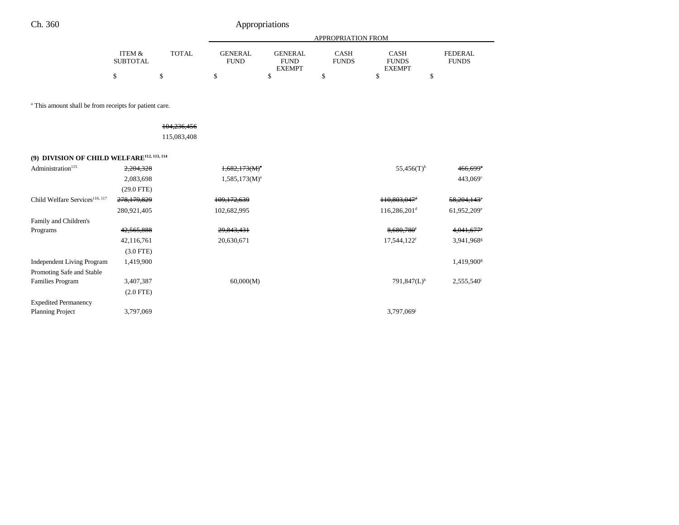|                                 |       | APPROPRIATION FROM |               |              |               |              |  |  |  |
|---------------------------------|-------|--------------------|---------------|--------------|---------------|--------------|--|--|--|
| <b>ITEM <math>\&amp;</math></b> | TOTAL | GENERAL            | GENERAL       | CASH         | CASH          | FEDERAL      |  |  |  |
| <b>SUBTOTAL</b>                 |       | <b>FUND</b>        | <b>FUND</b>   | <b>FUNDS</b> | <b>FUNDS</b>  | <b>FUNDS</b> |  |  |  |
|                                 |       |                    | <b>EXEMPT</b> |              | <b>EXEMPT</b> |              |  |  |  |
|                                 |       |                    |               |              |               |              |  |  |  |

a This amount shall be from receipts for patient care.

104,236,456 115,083,408

## **(9) DIVISION OF CHILD WELFARE112, 113, 114**

| Administration <sup>115</sup>              | 2,204,328    | $1,682,173(M)^{a}$ | $55,456(T)$ <sup>b</sup>   | 466,699 <sup>e</sup>      |
|--------------------------------------------|--------------|--------------------|----------------------------|---------------------------|
|                                            | 2,083,698    | $1,585,173(M)^{a}$ |                            | $443,069^{\circ}$         |
|                                            | $(29.0$ FTE) |                    |                            |                           |
| Child Welfare Services <sup>116, 117</sup> | 278,179,829  | 109,172,639        | 110,803,047 <sup>d</sup>   | $58,204,143$ <sup>e</sup> |
|                                            | 280,921,405  | 102,682,995        | $116,286,201$ <sup>d</sup> | 61,952,209 <sup>e</sup>   |
| Family and Children's                      |              |                    |                            |                           |
| Programs                                   | 42,565,888   | 29,843,431         | 8,680,780 <sup>f</sup>     | 4,041,677                 |
|                                            | 42,116,761   | 20,630,671         | 17,544,122 <sup>f</sup>    | 3,941,968 <sup>g</sup>    |
|                                            | $(3.0$ FTE)  |                    |                            |                           |
| <b>Independent Living Program</b>          | 1,419,900    |                    |                            | 1,419,900 <sup>g</sup>    |
| Promoting Safe and Stable                  |              |                    |                            |                           |
| <b>Families Program</b>                    | 3,407,387    | 60,000(M)          | $791,847(L)$ <sup>h</sup>  | $2,555,540$ <sup>i</sup>  |
|                                            | $(2.0$ FTE)  |                    |                            |                           |
| <b>Expedited Permanency</b>                |              |                    |                            |                           |
| <b>Planning Project</b>                    | 3,797,069    |                    | 3,797,069 <sup>j</sup>     |                           |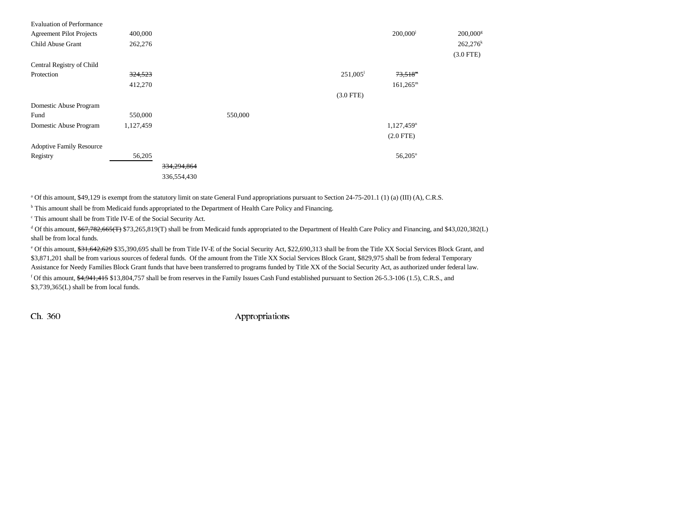| <b>Evaluation of Performance</b><br><b>Agreement Pilot Projects</b><br>Child Abuse Grant | 400,000<br>262,276 |             |         |             |                        | 200,000 <sup>j</sup>     | 200,000 <sup>s</sup><br>$262,276$ <sup>k</sup><br>$(3.0$ FTE) |
|------------------------------------------------------------------------------------------|--------------------|-------------|---------|-------------|------------------------|--------------------------|---------------------------------------------------------------|
| Central Registry of Child                                                                |                    |             |         |             |                        |                          |                                                               |
| Protection                                                                               | 324,523            |             |         |             | $251,005$ <sup>1</sup> | $73,518^m$               |                                                               |
|                                                                                          | 412,270            |             |         |             |                        | $161,265^m$              |                                                               |
|                                                                                          |                    |             |         | $(3.0$ FTE) |                        |                          |                                                               |
| Domestic Abuse Program                                                                   |                    |             |         |             |                        |                          |                                                               |
| Fund                                                                                     | 550,000            |             | 550,000 |             |                        |                          |                                                               |
| Domestic Abuse Program                                                                   | 1,127,459          |             |         |             |                        | $1,127,459$ <sup>n</sup> |                                                               |
|                                                                                          |                    |             |         |             |                        | $(2.0$ FTE)              |                                                               |
| <b>Adoptive Family Resource</b>                                                          |                    |             |         |             |                        |                          |                                                               |
| Registry                                                                                 | 56,205             |             |         |             |                        | 56,205°                  |                                                               |
|                                                                                          |                    | 334,294,864 |         |             |                        |                          |                                                               |
|                                                                                          |                    | 336,554,430 |         |             |                        |                          |                                                               |

a Of this amount, \$49,129 is exempt from the statutory limit on state General Fund appropriations pursuant to Section 24-75-201.1 (1) (a) (III) (A), C.R.S.

<sup>b</sup> This amount shall be from Medicaid funds appropriated to the Department of Health Care Policy and Financing.

c This amount shall be from Title IV-E of the Social Security Act.

<sup>d</sup> Of this amount, \$67,782,665(T) \$73,265,819(T) shall be from Medicaid funds appropriated to the Department of Health Care Policy and Financing, and \$43,020,382(L) shall be from local funds.

<sup>e</sup> Of this amount, \$31,642,629 \$35,390,695 shall be from Title IV-E of the Social Security Act, \$22,690,313 shall be from the Title XX Social Services Block Grant, and \$3,871,201 shall be from various sources of federal funds. Of the amount from the Title XX Social Services Block Grant, \$829,975 shall be from federal Temporary Assistance for Needy Families Block Grant funds that have been transferred to programs funded by Title XX of the Social Security Act, as authorized under federal law. <sup>f</sup> Of this amount,  $\frac{4,941,415}{2}$  \$13,804,757 shall be from reserves in the Family Issues Cash Fund established pursuant to Section 26-5.3-106 (1.5), C.R.S., and \$3,739,365(L) shall be from local funds.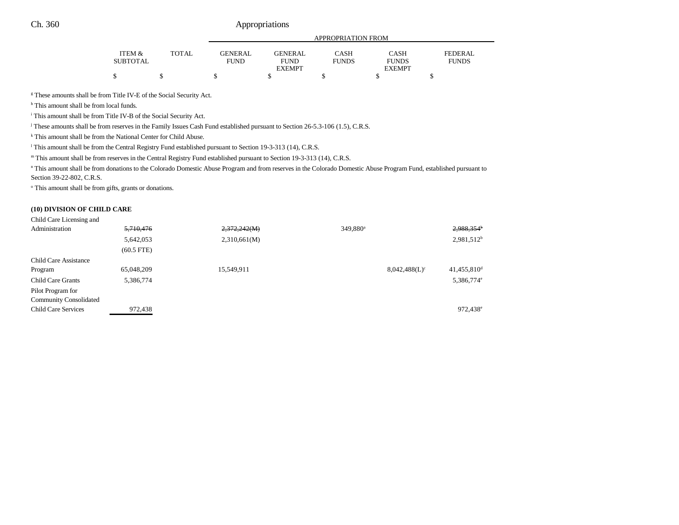|                 |       | APPROPRIATION FROM |                |              |               |              |  |  |
|-----------------|-------|--------------------|----------------|--------------|---------------|--------------|--|--|
| ITEM &          | TOTAL | <b>GENERAL</b>     | <b>GENERAL</b> | CASH         | CASH          | FEDERAL      |  |  |
| <b>SUBTOTAL</b> |       | FUND               | <b>FUND</b>    | <b>FUNDS</b> | <b>FUNDS</b>  | <b>FUNDS</b> |  |  |
|                 |       |                    | <b>EXEMPT</b>  |              | <b>EXEMPT</b> |              |  |  |
| J               |       |                    |                |              |               |              |  |  |

<sup>g</sup> These amounts shall be from Title IV-E of the Social Security Act.

h This amount shall be from local funds.

i This amount shall be from Title IV-B of the Social Security Act.

j These amounts shall be from reserves in the Family Issues Cash Fund established pursuant to Section 26-5.3-106 (1.5), C.R.S.

k This amount shall be from the National Center for Child Abuse.

<sup>1</sup> This amount shall be from the Central Registry Fund established pursuant to Section 19-3-313 (14), C.R.S.

m This amount shall be from reserves in the Central Registry Fund established pursuant to Section 19-3-313 (14), C.R.S.

n This amount shall be from donations to the Colorado Domestic Abuse Program and from reserves in the Colorado Domestic Abuse Program Fund, established pursuant to Section 39-22-802, C.R.S.

o This amount shall be from gifts, grants or donations.

### **(10) DIVISION OF CHILD CARE**

#### Child Care Licensing and

| Administration                | 5,710,476    | 2,372,242(M) | 349,880 <sup>a</sup> |                  | 2,988,354 <sup>b</sup>  |
|-------------------------------|--------------|--------------|----------------------|------------------|-------------------------|
|                               | 5,642,053    | 2,310,661(M) |                      |                  | $2,981,512^b$           |
|                               | $(60.5$ FTE) |              |                      |                  |                         |
| <b>Child Care Assistance</b>  |              |              |                      |                  |                         |
| Program                       | 65,048,209   | 15,549,911   |                      | $8,042,488(L)^c$ | 41,455,810 <sup>d</sup> |
| <b>Child Care Grants</b>      | 5,386,774    |              |                      |                  | 5,386,774 <sup>e</sup>  |
| Pilot Program for             |              |              |                      |                  |                         |
| <b>Community Consolidated</b> |              |              |                      |                  |                         |
| Child Care Services           | 972,438      |              |                      |                  | 972,438 <sup>e</sup>    |
|                               |              |              |                      |                  |                         |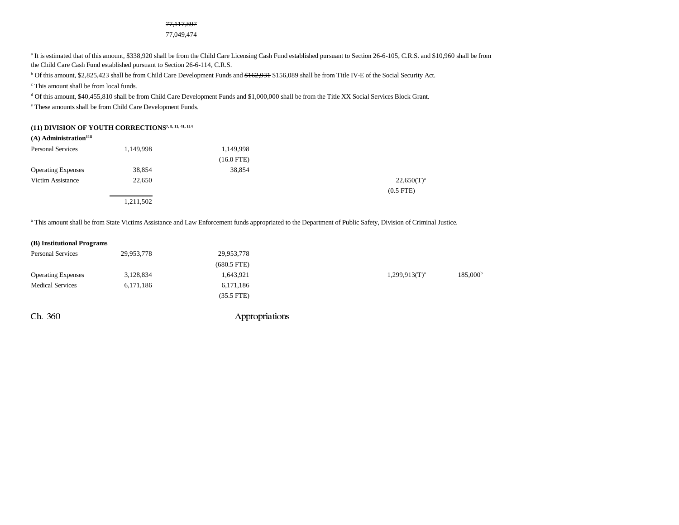#### 77,117,897

77,049,474

<sup>a</sup> It is estimated that of this amount, \$338,920 shall be from the Child Care Licensing Cash Fund established pursuant to Section 26-6-105, C.R.S. and \$10,960 shall be from the Child Care Cash Fund established pursuant to Section 26-6-114, C.R.S.

<sup>b</sup> Of this amount, \$2,825,423 shall be from Child Care Development Funds and \$162,931 \$156,089 shall be from Title IV-E of the Social Security Act.

c This amount shall be from local funds.

d Of this amount, \$40,455,810 shall be from Child Care Development Funds and \$1,000,000 shall be from the Title XX Social Services Block Grant.

e These amounts shall be from Child Care Development Funds.

## **(11) DIVISION OF YOUTH CORRECTIONS7, 8, 11, 41, 114**

## **(A)** Administration<sup>118</sup>

| <b>Personal Services</b>  | 1,149,998 | 1,149,998    |                 |
|---------------------------|-----------|--------------|-----------------|
|                           |           | $(16.0$ FTE) |                 |
| <b>Operating Expenses</b> | 38,854    | 38,854       |                 |
| Victim Assistance         | 22,650    |              | $22,650(T)^{a}$ |
|                           |           |              | $(0.5$ FTE $)$  |
|                           | 1,211,502 |              |                 |

<sup>a</sup> This amount shall be from State Victims Assistance and Law Enforcement funds appropriated to the Department of Public Safety, Division of Criminal Justice.

### **(B) Institutional Programs**

| <b>Personal Services</b>  | 29,953,778 | 29,953,778    |                    |                      |
|---------------------------|------------|---------------|--------------------|----------------------|
|                           |            | $(680.5$ FTE) |                    |                      |
| <b>Operating Expenses</b> | 3,128,834  | 1,643,921     | $1,299,913(T)^{a}$ | 185,000 <sup>b</sup> |
| <b>Medical Services</b>   | 6,171,186  | 6,171,186     |                    |                      |
|                           |            | $(35.5$ FTE)  |                    |                      |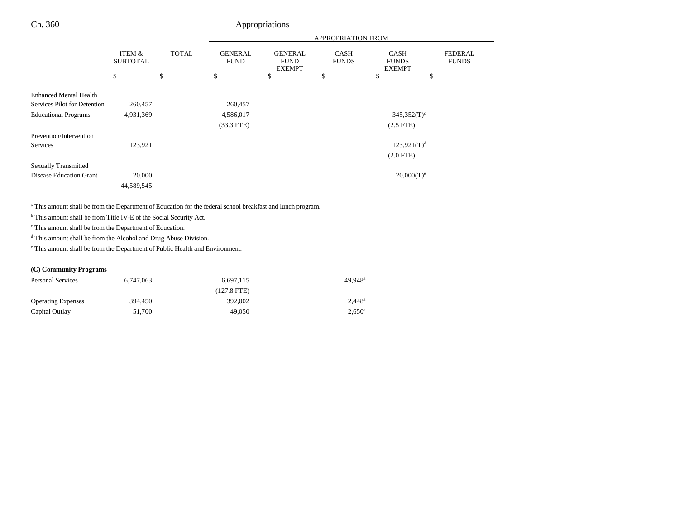|                                |                                 |                    | <b>APPROPRIATION FROM</b>           |                                                      |                                   |                                                    |                                      |
|--------------------------------|---------------------------------|--------------------|-------------------------------------|------------------------------------------------------|-----------------------------------|----------------------------------------------------|--------------------------------------|
|                                | ITEM &<br><b>SUBTOTAL</b><br>\$ | <b>TOTAL</b><br>\$ | <b>GENERAL</b><br><b>FUND</b><br>\$ | <b>GENERAL</b><br><b>FUND</b><br><b>EXEMPT</b><br>\$ | <b>CASH</b><br><b>FUNDS</b><br>\$ | <b>CASH</b><br><b>FUNDS</b><br><b>EXEMPT</b><br>\$ | <b>FEDERAL</b><br><b>FUNDS</b><br>\$ |
|                                |                                 |                    |                                     |                                                      |                                   |                                                    |                                      |
| <b>Enhanced Mental Health</b>  |                                 |                    |                                     |                                                      |                                   |                                                    |                                      |
| Services Pilot for Detention   | 260,457                         |                    | 260,457                             |                                                      |                                   |                                                    |                                      |
| <b>Educational Programs</b>    | 4,931,369                       |                    | 4,586,017                           |                                                      |                                   | $345,352(T)$ <sup>c</sup>                          |                                      |
|                                |                                 |                    | $(33.3$ FTE)                        |                                                      |                                   | $(2.5$ FTE)                                        |                                      |
| Prevention/Intervention        |                                 |                    |                                     |                                                      |                                   |                                                    |                                      |
| Services                       | 123,921                         |                    |                                     |                                                      |                                   | $123,921(T)^d$                                     |                                      |
|                                |                                 |                    |                                     |                                                      |                                   | $(2.0$ FTE)                                        |                                      |
| <b>Sexually Transmitted</b>    |                                 |                    |                                     |                                                      |                                   |                                                    |                                      |
| <b>Disease Education Grant</b> | 20,000                          |                    |                                     |                                                      |                                   | $20,000(T)^e$                                      |                                      |
|                                | 44,589,545                      |                    |                                     |                                                      |                                   |                                                    |                                      |

a This amount shall be from the Department of Education for the federal school breakfast and lunch program.

b This amount shall be from Title IV-E of the Social Security Act.

c This amount shall be from the Department of Education.

d This amount shall be from the Alcohol and Drug Abuse Division.

e This amount shall be from the Department of Public Health and Environment.

### **(C) Community Programs**

| <b>Personal Services</b>  | 6.747.063 | 6.697.115     | $49.948$ <sup>a</sup> |
|---------------------------|-----------|---------------|-----------------------|
|                           |           | $(127.8$ FTE) |                       |
| <b>Operating Expenses</b> | 394.450   | 392,002       | $2.448^{\circ}$       |
| Capital Outlay            | 51.700    | 49,050        | $2.650^{\circ}$       |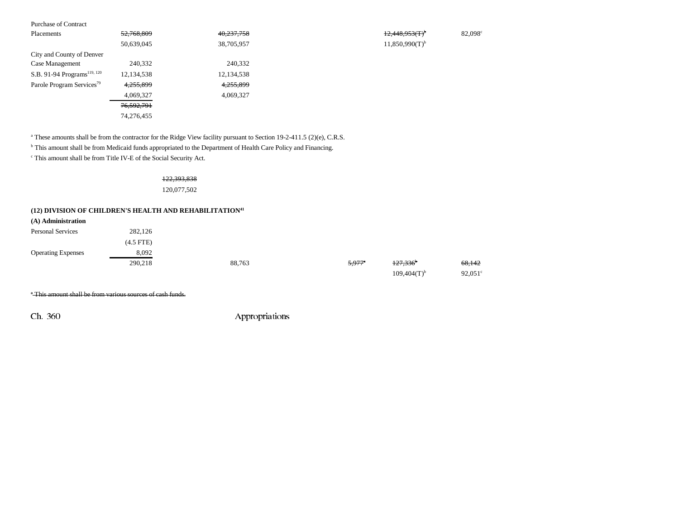| <b>Purchase of Contract</b>             |            |            |                     |        |
|-----------------------------------------|------------|------------|---------------------|--------|
| Placements                              | 52,768,809 | 40,237,758 | $12,448,953(T)^6$   | 82,098 |
|                                         | 50,639,045 | 38,705,957 | $11,850,990(T)^{b}$ |        |
| City and County of Denver               |            |            |                     |        |
| Case Management                         | 240,332    | 240,332    |                     |        |
| S.B. 91-94 Programs <sup>119, 120</sup> | 12,134,538 | 12,134,538 |                     |        |
| Parole Program Services <sup>79</sup>   | 4,255,899  | 4,255,899  |                     |        |
|                                         | 4,069,327  | 4,069,327  |                     |        |
|                                         | 76,592,791 |            |                     |        |
|                                         | 74,276,455 |            |                     |        |
|                                         |            |            |                     |        |

<sup>a</sup> These amounts shall be from the contractor for the Ridge View facility pursuant to Section 19-2-411.5 (2)(e), C.R.S.

<sup>b</sup> This amount shall be from Medicaid funds appropriated to the Department of Health Care Policy and Financing.

c This amount shall be from Title IV-E of the Social Security Act.

122,393,838 120,077,502

## **(12) DIVISION OF CHILDREN'S HEALTH AND REHABILITATION41**

| (A) Administration        |             |        |                      |                        |                   |
|---------------------------|-------------|--------|----------------------|------------------------|-------------------|
| <b>Personal Services</b>  | 282,126     |        |                      |                        |                   |
|                           | $(4.5$ FTE) |        |                      |                        |                   |
| <b>Operating Expenses</b> | 8,092       |        |                      |                        |                   |
|                           | 290,218     | 88,763 | $5.977$ <sup>a</sup> | $127,336$ <sup>b</sup> | <del>68,142</del> |
|                           |             |        |                      | $109,404(T)^{b}$       | $92.051^{\circ}$  |

\* This amount shall be from various sources of cash funds.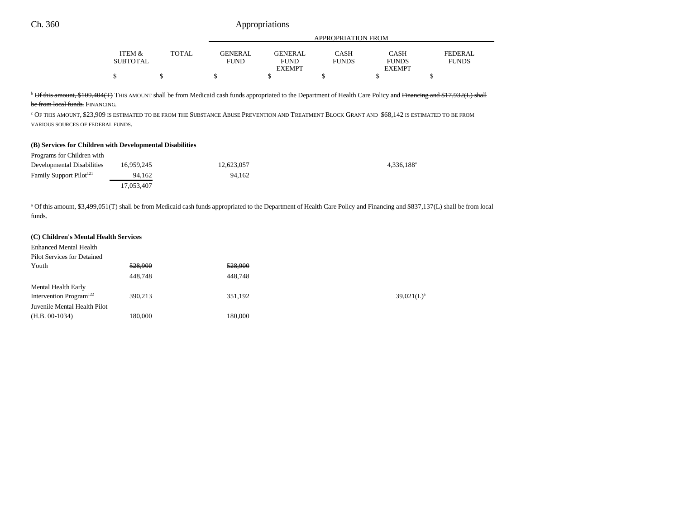|                   |              |                |                | APPROPRIATION FROM |               |              |
|-------------------|--------------|----------------|----------------|--------------------|---------------|--------------|
| <b>ITEM &amp;</b> | <b>TOTAL</b> | <b>GENERAL</b> | <b>GENERAL</b> | CASH               | <b>CASH</b>   | FEDERAL      |
| <b>SUBTOTAL</b>   |              | <b>FUND</b>    | <b>FUND</b>    | <b>FUNDS</b>       | <b>FUNDS</b>  | <b>FUNDS</b> |
|                   |              |                | <b>EXEMPT</b>  |                    | <b>EXEMPT</b> |              |
|                   |              |                |                |                    |               |              |

<sup>b</sup> Of this amount, \$109,404(T) THIS AMOUNT shall be from Medicaid cash funds appropriated to the Department of Health Care Policy and Financing and \$17,932(L) shall

<del>be from local funds.</del> Financing.

c OF THIS AMOUNT, \$23,909 IS ESTIMATED TO BE FROM THE SUBSTANCE ABUSE PREVENTION AND TREATMENT BLOCK GRANT AND \$68,142 IS ESTIMATED TO BE FROM VARIOUS SOURCES OF FEDERAL FUNDS.

#### **(B) Services for Children with Developmental Disabilities**

| Programs for Children with |  |
|----------------------------|--|
|----------------------------|--|

| Developmental Disabilities          | 16.959.245 | 12.623.057 | $4.336.188$ <sup>a</sup> |
|-------------------------------------|------------|------------|--------------------------|
| Family Support Pilot <sup>121</sup> | 94.162     | 94.162     |                          |
|                                     | 17.053.407 |            |                          |

<sup>a</sup> Of this amount, \$3,499,051(T) shall be from Medicaid cash funds appropriated to the Department of Health Care Policy and Financing and \$837,137(L) shall be from local funds.

#### **(C) Children's Mental Health Services**

| <b>Enhanced Mental Health</b>       |         |         |               |
|-------------------------------------|---------|---------|---------------|
| <b>Pilot Services for Detained</b>  |         |         |               |
| Youth                               | 528,900 | 528,900 |               |
|                                     | 448,748 | 448,748 |               |
| Mental Health Early                 |         |         |               |
| Intervention Program <sup>122</sup> | 390.213 | 351,192 | $39,021(L)^3$ |
| Juvenile Mental Health Pilot        |         |         |               |
| $(H.B. 00-1034)$                    | 180,000 | 180,000 |               |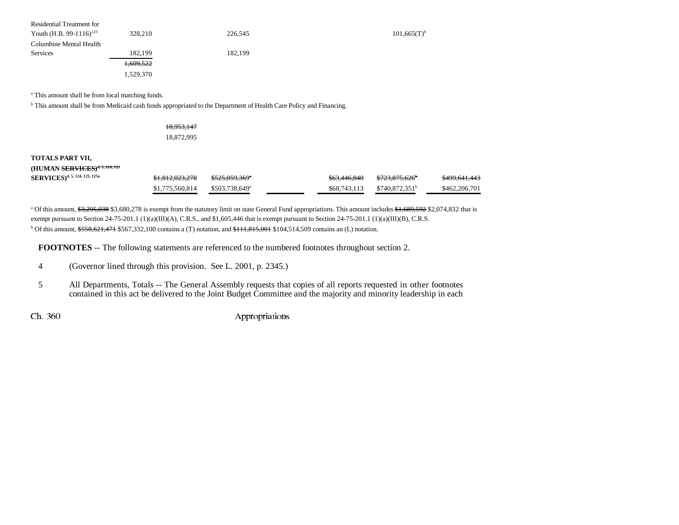| Residential Treatment for<br>Youth (H.B. 99-1116) <sup>123</sup> | 328,210              | 226,545 | $101,665(T)^{b}$ |
|------------------------------------------------------------------|----------------------|---------|------------------|
| Columbine Mental Health                                          |                      |         |                  |
| <b>Services</b>                                                  | 182,199              | 182.199 |                  |
|                                                                  | <del>1,609,522</del> |         |                  |
|                                                                  | 1,529,370            |         |                  |

a This amount shall be from local matching funds.

<sup>b</sup> This amount shall be from Medicaid cash funds appropriated to the Department of Health Care Policy and Financing.

| <del>18,953,147</del> |  |
|-----------------------|--|
| 18,872,995            |  |

## **TOTALS PART VII,**

#### **(HUMAN SERVICES)4, 5, 124, 125**

| <b>SERVICES</b> ) <sup>4, 5, 124, 125, 125a</sup> | \$1,812,023,278                         | <del>\$525.059.369</del> * | \$63,446,840 | <del>\$723,875,626</del>      | \$499,641,443 |
|---------------------------------------------------|-----------------------------------------|----------------------------|--------------|-------------------------------|---------------|
|                                                   | $$1,775,560,814$ $$503,738,649^{\circ}$ |                            |              | $$68.743.113$ $$740.872.351b$ | \$462,206,701 |

<sup>a</sup> Of this amount, \$3,295,038 \$3,680,278 is exempt from the statutory limit on state General Fund appropriations. This amount includes \$1,689,592 \$2,074,832 that is exempt pursuant to Section 24-75-201.1 (1)(a)(III)(A), C.R.S., and \$1,605,446 that is exempt pursuant to Section 24-75-201.1 (1)(a)(III)(B), C.R.S.  $b$  Of this amount,  $$558,621,471$  \$567,332,100 contains a (T) notation, and  $$111,815,001$  \$104,514,509 contains an (L) notation.

**FOOTNOTES** -- The following statements are referenced to the numbered footnotes throughout section 2.

|  | -4 | (Governor lined through this provision. See L. 2001, p. 2345.) |  |
|--|----|----------------------------------------------------------------|--|
|--|----|----------------------------------------------------------------|--|

5 All Departments, Totals -- The General Assembly requests that copies of all reports requested in other footnotes contained in this act be delivered to the Joint Budget Committee and the majority and minority leadership in each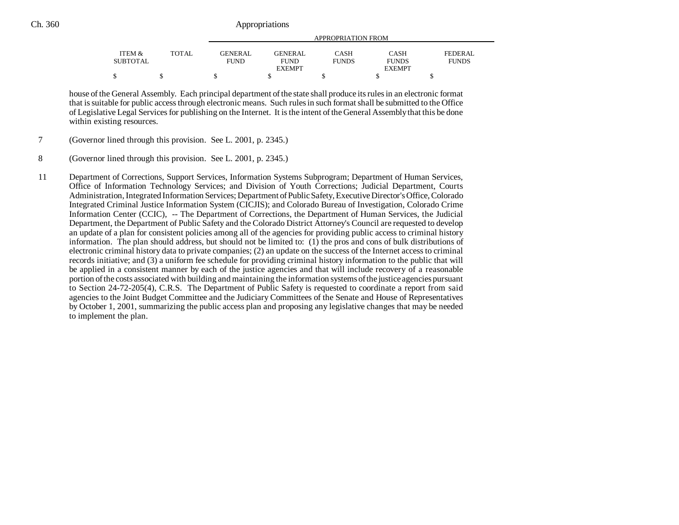|          |              |                |                | APPROPRIATION FROM |               |              |
|----------|--------------|----------------|----------------|--------------------|---------------|--------------|
| ITEM &   | <b>TOTAL</b> | <b>GENERAL</b> | <b>GENERAL</b> | CASH               | <b>CASH</b>   | FEDERAL      |
| SUBTOTAL |              | FUND           | <b>FUND</b>    | <b>FUNDS</b>       | <b>FUNDS</b>  | <b>FUNDS</b> |
|          |              |                | <b>EXEMPT</b>  |                    | <b>EXEMPT</b> |              |
|          |              |                |                |                    |               |              |

house of the General Assembly. Each principal department of the state shall produce its rules in an electronic format that is suitable for public access through electronic means. Such rules in such format shall be submitted to the Office of Legislative Legal Services for publishing on the Internet. It is the intent of the General Assembly that this be done within existing resources.

- 7 (Governor lined through this provision. See L. 2001, p. 2345.)
- 8 (Governor lined through this provision. See L. 2001, p. 2345.)

11 Department of Corrections, Support Services, Information Systems Subprogram; Department of Human Services, Office of Information Technology Services; and Division of Youth Corrections; Judicial Department, Courts Administration, Integrated Information Services; Department of Public Safety, Executive Director's Office, Colorado Integrated Criminal Justice Information System (CICJIS); and Colorado Bureau of Investigation, Colorado Crime Information Center (CCIC), -- The Department of Corrections, the Department of Human Services, the Judicial Department, the Department of Public Safety and the Colorado District Attorney's Council are requested to develop an update of a plan for consistent policies among all of the agencies for providing public access to criminal history information. The plan should address, but should not be limited to: (1) the pros and cons of bulk distributions of electronic criminal history data to private companies; (2) an update on the success of the Internet access to criminal records initiative; and (3) a uniform fee schedule for providing criminal history information to the public that will be applied in a consistent manner by each of the justice agencies and that will include recovery of a reasonable portion of the costs associated with building and maintaining the information systems of the justice agencies pursuant to Section 24-72-205(4), C.R.S. The Department of Public Safety is requested to coordinate a report from said agencies to the Joint Budget Committee and the Judiciary Committees of the Senate and House of Representatives by October 1, 2001, summarizing the public access plan and proposing any legislative changes that may be needed to implement the plan.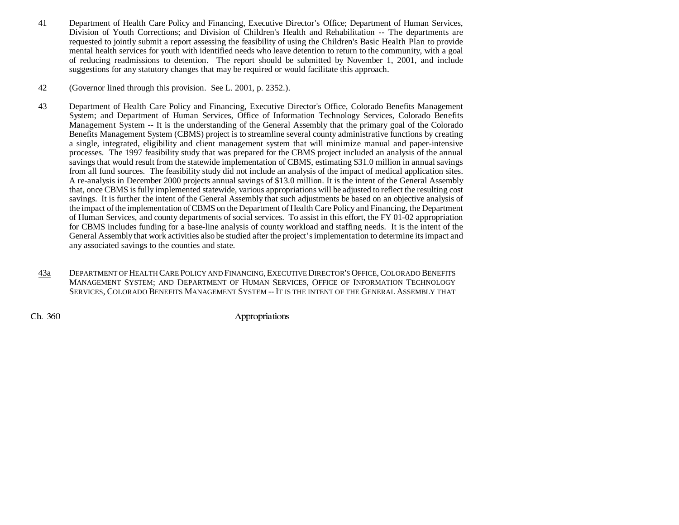- 41 Department of Health Care Policy and Financing, Executive Director's Office; Department of Human Services, Division of Youth Corrections; and Division of Children's Health and Rehabilitation -- The departments are requested to jointly submit a report assessing the feasibility of using the Children's Basic Health Plan to provide mental health services for youth with identified needs who leave detention to return to the community, with a goal of reducing readmissions to detention. The report should be submitted by November 1, 2001, and include suggestions for any statutory changes that may be required or would facilitate this approach.
- 42 (Governor lined through this provision. See L. 2001, p. 2352.).
- 43 Department of Health Care Policy and Financing, Executive Director's Office, Colorado Benefits Management System; and Department of Human Services, Office of Information Technology Services, Colorado Benefits Management System -- It is the understanding of the General Assembly that the primary goal of the Colorado Benefits Management System (CBMS) project is to streamline several county administrative functions by creating a single, integrated, eligibility and client management system that will minimize manual and paper-intensive processes. The 1997 feasibility study that was prepared for the CBMS project included an analysis of the annual savings that would result from the statewide implementation of CBMS, estimating \$31.0 million in annual savings from all fund sources. The feasibility study did not include an analysis of the impact of medical application sites. A re-analysis in December 2000 projects annual savings of \$13.0 million. It is the intent of the General Assembly that, once CBMS is fully implemented statewide, various appropriations will be adjusted to reflect the resulting cost savings. It is further the intent of the General Assembly that such adjustments be based on an objective analysis of the impact of the implementation of CBMS on the Department of Health Care Policy and Financing, the Department of Human Services, and county departments of social services. To assist in this effort, the FY 01-02 appropriation for CBMS includes funding for a base-line analysis of county workload and staffing needs. It is the intent of the General Assembly that work activities also be studied after the project's implementation to determine its impact and any associated savings to the counties and state.
- 43a DEPARTMENT OF HEALTH CARE POLICY AND FINANCING, EXECUTIVE DIRECTOR'S OFFICE, COLORADO BENEFITS MANAGEMENT SYSTEM; AND DEPARTMENT OF HUMAN SERVICES, OFFICE OF INFORMATION TECHNOLOGY SERVICES, COLORADO BENEFITS MANAGEMENT SYSTEM -- IT IS THE INTENT OF THE GENERAL ASSEMBLY THAT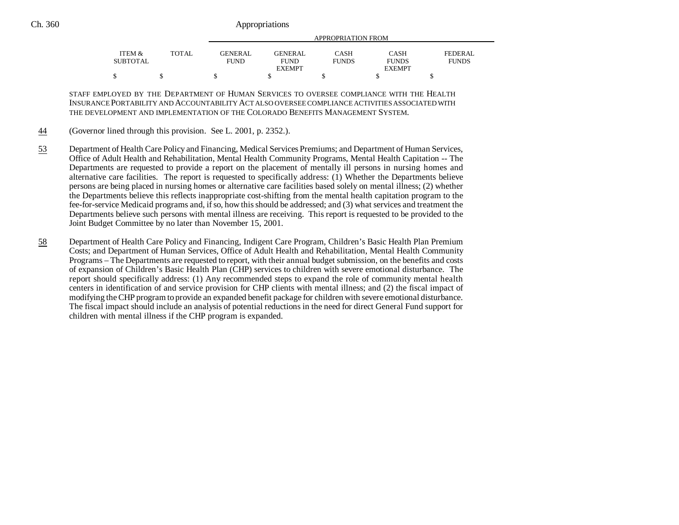|                 |              |                | APPROPRIATION FROM |              |               |              |  |  |
|-----------------|--------------|----------------|--------------------|--------------|---------------|--------------|--|--|
| ITEM &          | <b>TOTAL</b> | <b>GENERAL</b> | GENERAL.           | <b>CASH</b>  | CASH          | FEDERAL      |  |  |
| <b>SUBTOTAL</b> |              | <b>FUND</b>    | <b>FUND</b>        | <b>FUNDS</b> | <b>FUNDS</b>  | <b>FUNDS</b> |  |  |
|                 |              |                | <b>EXEMPT</b>      |              | <b>EXEMPT</b> |              |  |  |
| ሖ               |              |                |                    |              |               |              |  |  |

STAFF EMPLOYED BY THE DEPARTMENT OF HUMAN SERVICES TO OVERSEE COMPLIANCE WITH THE HEALTHINSURANCE PORTABILITY AND ACCOUNTABILITY ACT ALSO OVERSEE COMPLIANCE ACTIVITIES ASSOCIATED WITHTHE DEVELOPMENT AND IMPLEMENTATION OF THE COLORADO BENEFITS MANAGEMENT SYSTEM.

- 44(Governor lined through this provision. See L. 2001, p. 2352.).
- 53 Department of Health Care Policy and Financing, Medical Services Premiums; and Department of Human Services, Office of Adult Health and Rehabilitation, Mental Health Community Programs, Mental Health Capitation -- The Departments are requested to provide a report on the placement of mentally ill persons in nursing homes and alternative care facilities. The report is requested to specifically address: (1) Whether the Departments believe persons are being placed in nursing homes or alternative care facilities based solely on mental illness; (2) whether the Departments believe this reflects inappropriate cost-shifting from the mental health capitation program to the fee-for-service Medicaid programs and, if so, how this should be addressed; and (3) what services and treatment the Departments believe such persons with mental illness are receiving. This report is requested to be provided to the Joint Budget Committee by no later than November 15, 2001.
- 58 Department of Health Care Policy and Financing, Indigent Care Program, Children's Basic Health Plan Premium Costs; and Department of Human Services, Office of Adult Health and Rehabilitation, Mental Health Community Programs – The Departments are requested to report, with their annual budget submission, on the benefits and costs of expansion of Children's Basic Health Plan (CHP) services to children with severe emotional disturbance. The report should specifically address: (1) Any recommended steps to expand the role of community mental health centers in identification of and service provision for CHP clients with mental illness; and (2) the fiscal impact of modifying the CHP program to provide an expanded benefit package for children with severe emotional disturbance. The fiscal impact should include an analysis of potential reductions in the need for direct General Fund support for children with mental illness if the CHP program is expanded.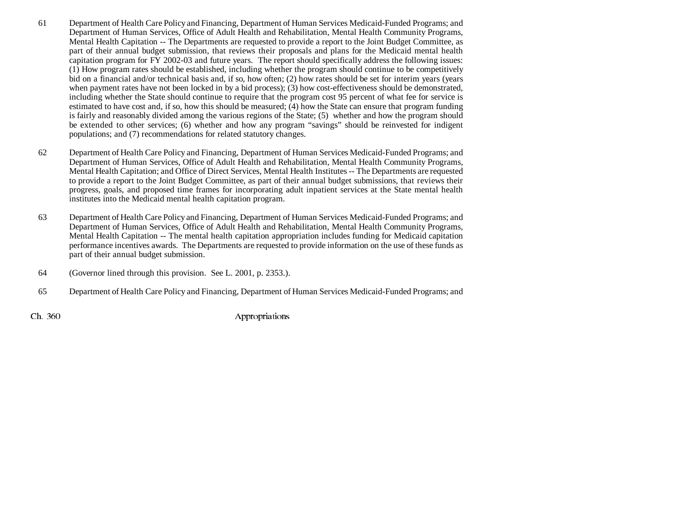- 61 Department of Health Care Policy and Financing, Department of Human Services Medicaid-Funded Programs; and Department of Human Services, Office of Adult Health and Rehabilitation, Mental Health Community Programs, Mental Health Capitation -- The Departments are requested to provide a report to the Joint Budget Committee, as part of their annual budget submission, that reviews their proposals and plans for the Medicaid mental health capitation program for FY 2002-03 and future years. The report should specifically address the following issues: (1) How program rates should be established, including whether the program should continue to be competitively bid on a financial and/or technical basis and, if so, how often; (2) how rates should be set for interim years (years when payment rates have not been locked in by a bid process); (3) how cost-effectiveness should be demonstrated, including whether the State should continue to require that the program cost 95 percent of what fee for service is estimated to have cost and, if so, how this should be measured; (4) how the State can ensure that program funding is fairly and reasonably divided among the various regions of the State; (5) whether and how the program should be extended to other services; (6) whether and how any program "savings" should be reinvested for indigent populations; and (7) recommendations for related statutory changes.
- 62 Department of Health Care Policy and Financing, Department of Human Services Medicaid-Funded Programs; and Department of Human Services, Office of Adult Health and Rehabilitation, Mental Health Community Programs, Mental Health Capitation; and Office of Direct Services, Mental Health Institutes -- The Departments are requested to provide a report to the Joint Budget Committee, as part of their annual budget submissions, that reviews their progress, goals, and proposed time frames for incorporating adult inpatient services at the State mental health institutes into the Medicaid mental health capitation program.
- 63 Department of Health Care Policy and Financing, Department of Human Services Medicaid-Funded Programs; and Department of Human Services, Office of Adult Health and Rehabilitation, Mental Health Community Programs, Mental Health Capitation -- The mental health capitation appropriation includes funding for Medicaid capitation performance incentives awards. The Departments are requested to provide information on the use of these funds as part of their annual budget submission.
- 64 (Governor lined through this provision. See L. 2001, p. 2353.).
- 65 Department of Health Care Policy and Financing, Department of Human Services Medicaid-Funded Programs; and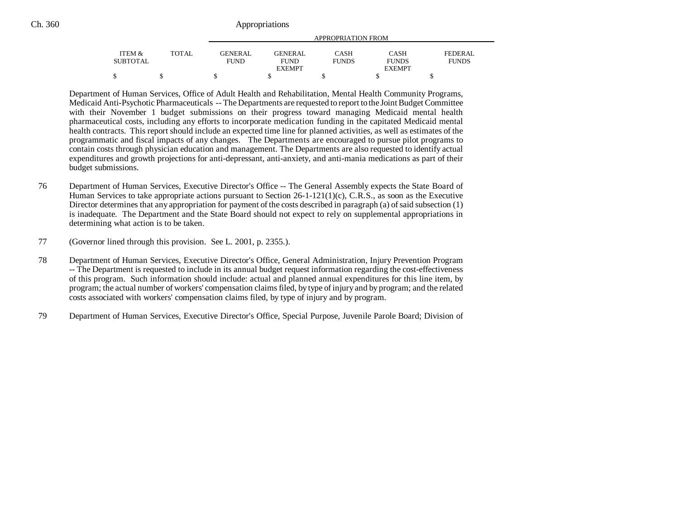|                   | APPROPRIATION FROM |                |                |              |               |              |
|-------------------|--------------------|----------------|----------------|--------------|---------------|--------------|
| <b>ITEM &amp;</b> | TOTAL              | <b>GENERAL</b> | <b>GENERAL</b> | CASH         | <b>CASH</b>   | FEDERAL.     |
| <b>SUBTOTAL</b>   |                    | <b>FUND</b>    | <b>FUND</b>    | <b>FUNDS</b> | <b>FUNDS</b>  | <b>FUNDS</b> |
|                   |                    |                | <b>EXEMPT</b>  |              | <b>EXEMPT</b> |              |
|                   |                    |                |                |              |               |              |

Department of Human Services, Office of Adult Health and Rehabilitation, Mental Health Community Programs, Medicaid Anti-Psychotic Pharmaceuticals -- The Departments are requested to report to the Joint Budget Committee with their November 1 budget submissions on their progress toward managing Medicaid mental health pharmaceutical costs, including any efforts to incorporate medication funding in the capitated Medicaid mental health contracts. This report should include an expected time line for planned activities, as well as estimates of the programmatic and fiscal impacts of any changes. The Departments are encouraged to pursue pilot programs to contain costs through physician education and management. The Departments are also requested to identify actual expenditures and growth projections for anti-depressant, anti-anxiety, and anti-mania medications as part of their budget submissions.

- 76 Department of Human Services, Executive Director's Office -- The General Assembly expects the State Board of Human Services to take appropriate actions pursuant to Section 26-1-121(1)(c), C.R.S., as soon as the Executive Director determines that any appropriation for payment of the costs described in paragraph (a) of said subsection (1) is inadequate. The Department and the State Board should not expect to rely on supplemental appropriations in determining what action is to be taken.
- 77 (Governor lined through this provision. See L. 2001, p. 2355.).
- 78 Department of Human Services, Executive Director's Office, General Administration, Injury Prevention Program -- The Department is requested to include in its annual budget request information regarding the cost-effectiveness of this program. Such information should include: actual and planned annual expenditures for this line item, by program; the actual number of workers' compensation claims filed, by type of injury and by program; and the related costs associated with workers' compensation claims filed, by type of injury and by program.
- 79 Department of Human Services, Executive Director's Office, Special Purpose, Juvenile Parole Board; Division of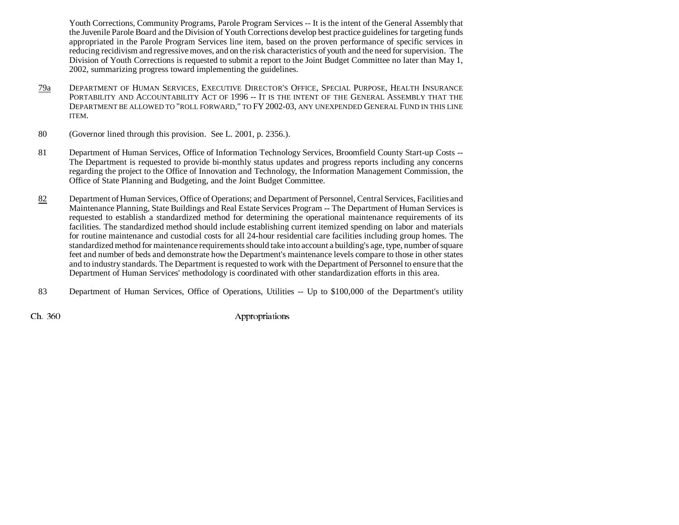Youth Corrections, Community Programs, Parole Program Services -- It is the intent of the General Assembly that the Juvenile Parole Board and the Division of Youth Corrections develop best practice guidelines for targeting funds appropriated in the Parole Program Services line item, based on the proven performance of specific services in reducing recidivism and regressive moves, and on the risk characteristics of youth and the need for supervision. The Division of Youth Corrections is requested to submit a report to the Joint Budget Committee no later than May 1, 2002, summarizing progress toward implementing the guidelines.

- 79a DEPARTMENT OF HUMAN SERVICES, EXECUTIVE DIRECTOR'S OFFICE, SPECIAL PURPOSE, HEALTH INSURANCE PORTABILITY AND ACCOUNTABILITY ACT OF 1996 -- IT IS THE INTENT OF THE GENERAL ASSEMBLY THAT THE DEPARTMENT BE ALLOWED TO "ROLL FORWARD," TO FY 2002-03, ANY UNEXPENDED GENERAL FUND IN THIS LINE ITEM.
- 80 (Governor lined through this provision. See L. 2001, p. 2356.).
- 81 Department of Human Services, Office of Information Technology Services, Broomfield County Start-up Costs -- The Department is requested to provide bi-monthly status updates and progress reports including any concerns regarding the project to the Office of Innovation and Technology, the Information Management Commission, the Office of State Planning and Budgeting, and the Joint Budget Committee.
- 82 Department of Human Services, Office of Operations; and Department of Personnel, Central Services, Facilities and Maintenance Planning, State Buildings and Real Estate Services Program -- The Department of Human Services is requested to establish a standardized method for determining the operational maintenance requirements of its facilities. The standardized method should include establishing current itemized spending on labor and materials for routine maintenance and custodial costs for all 24-hour residential care facilities including group homes. The standardized method for maintenance requirements should take into account a building's age, type, number of square feet and number of beds and demonstrate how the Department's maintenance levels compare to those in other states and to industry standards. The Department is requested to work with the Department of Personnel to ensure that the Department of Human Services' methodology is coordinated with other standardization efforts in this area.
- 83 Department of Human Services, Office of Operations, Utilities -- Up to \$100,000 of the Department's utility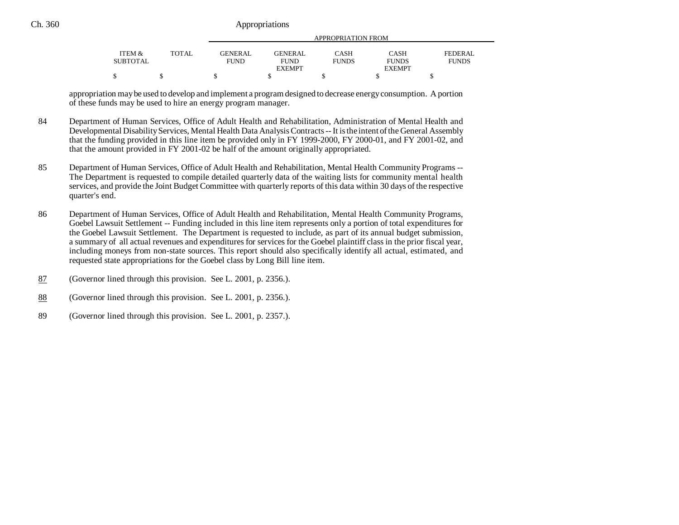|                                      |        |                        | APPROPRIATION FROM      |                      |                             |                         |  |  |
|--------------------------------------|--------|------------------------|-------------------------|----------------------|-----------------------------|-------------------------|--|--|
| <b>ITEM &amp;</b><br><b>SUBTOTAL</b> | TOTAL. | GENERAL<br><b>FUND</b> | GENERAL.<br><b>FUND</b> | CASH<br><b>FUNDS</b> | <b>CASH</b><br><b>FUNDS</b> | FEDERAL<br><b>FUNDS</b> |  |  |
|                                      |        |                        | <b>EXEMPT</b>           |                      | <b>EXEMPT</b>               |                         |  |  |
| ሖ<br>Φ                               |        |                        |                         |                      |                             |                         |  |  |

appropriation may be used to develop and implement a program designed to decrease energy consumption. A portion of these funds may be used to hire an energy program manager.

- 84 Department of Human Services, Office of Adult Health and Rehabilitation, Administration of Mental Health and Developmental Disability Services, Mental Health Data Analysis Contracts -- It is the intent of the General Assembly that the funding provided in this line item be provided only in FY 1999-2000, FY 2000-01, and FY 2001-02, and that the amount provided in FY 2001-02 be half of the amount originally appropriated.
- 85 Department of Human Services, Office of Adult Health and Rehabilitation, Mental Health Community Programs -- The Department is requested to compile detailed quarterly data of the waiting lists for community mental health services, and provide the Joint Budget Committee with quarterly reports of this data within 30 days of the respective quarter's end.
- 86 Department of Human Services, Office of Adult Health and Rehabilitation, Mental Health Community Programs, Goebel Lawsuit Settlement -- Funding included in this line item represents only a portion of total expenditures for the Goebel Lawsuit Settlement. The Department is requested to include, as part of its annual budget submission, a summary of all actual revenues and expenditures for services for the Goebel plaintiff class in the prior fiscal year, including moneys from non-state sources. This report should also specifically identify all actual, estimated, and requested state appropriations for the Goebel class by Long Bill line item.
- 87(Governor lined through this provision. See L. 2001, p. 2356.).
- 88(Governor lined through this provision. See L. 2001, p. 2356.).
- 89 (Governor lined through this provision. See L. 2001, p. 2357.).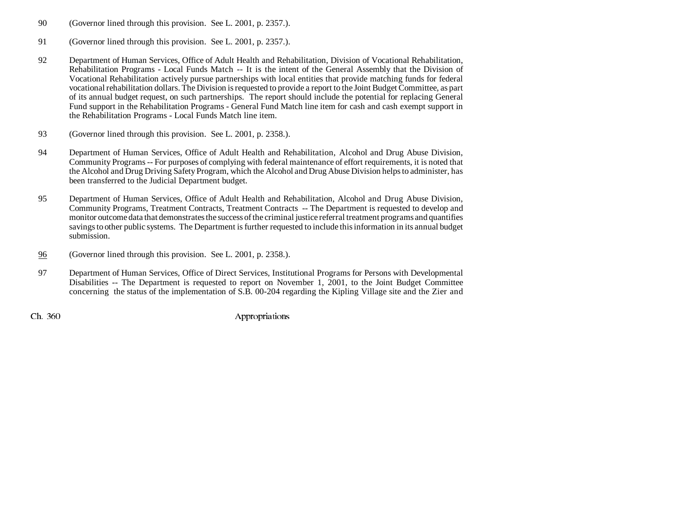- 90 (Governor lined through this provision. See L. 2001, p. 2357.).
- 91 (Governor lined through this provision. See L. 2001, p. 2357.).
- 92 Department of Human Services, Office of Adult Health and Rehabilitation, Division of Vocational Rehabilitation, Rehabilitation Programs - Local Funds Match -- It is the intent of the General Assembly that the Division of Vocational Rehabilitation actively pursue partnerships with local entities that provide matching funds for federal vocational rehabilitation dollars. The Division is requested to provide a report to the Joint Budget Committee, as part of its annual budget request, on such partnerships. The report should include the potential for replacing General Fund support in the Rehabilitation Programs - General Fund Match line item for cash and cash exempt support in the Rehabilitation Programs - Local Funds Match line item.
- 93 (Governor lined through this provision. See L. 2001, p. 2358.).
- 94 Department of Human Services, Office of Adult Health and Rehabilitation, Alcohol and Drug Abuse Division, Community Programs -- For purposes of complying with federal maintenance of effort requirements, it is noted that the Alcohol and Drug Driving Safety Program, which the Alcohol and Drug Abuse Division helps to administer, has been transferred to the Judicial Department budget.
- 95 Department of Human Services, Office of Adult Health and Rehabilitation, Alcohol and Drug Abuse Division, Community Programs, Treatment Contracts, Treatment Contracts -- The Department is requested to develop and monitor outcome data that demonstrates the success of the criminal justice referral treatment programs and quantifies savings to other public systems. The Department is further requested to include this information in its annual budget submission.
- 96(Governor lined through this provision. See L. 2001, p. 2358.).
- 97 Department of Human Services, Office of Direct Services, Institutional Programs for Persons with Developmental Disabilities -- The Department is requested to report on November 1, 2001, to the Joint Budget Committee concerning the status of the implementation of S.B. 00-204 regarding the Kipling Village site and the Zier and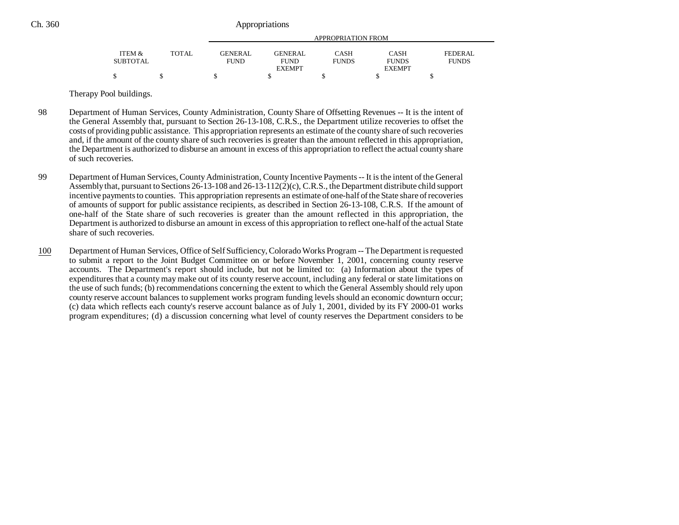|                 |              | APPROPRIATION FROM |                |              |               |              |  |  |
|-----------------|--------------|--------------------|----------------|--------------|---------------|--------------|--|--|
| ITEM &          | <b>TOTAL</b> | <b>GENERAL</b>     | <b>GENERAL</b> | <b>CASH</b>  | <b>CASH</b>   | FEDERAL      |  |  |
| <b>SUBTOTAL</b> |              | <b>FUND</b>        | <b>FUND</b>    | <b>FUNDS</b> | <b>FUNDS</b>  | <b>FUNDS</b> |  |  |
|                 |              |                    | <b>EXEMPT</b>  |              | <b>EXEMPT</b> |              |  |  |
|                 |              |                    |                |              |               |              |  |  |

Therapy Pool buildings.

- 98 Department of Human Services, County Administration, County Share of Offsetting Revenues -- It is the intent of the General Assembly that, pursuant to Section 26-13-108, C.R.S., the Department utilize recoveries to offset the costs of providing public assistance. This appropriation represents an estimate of the county share of such recoveries and, if the amount of the county share of such recoveries is greater than the amount reflected in this appropriation, the Department is authorized to disburse an amount in excess of this appropriation to reflect the actual county share of such recoveries.
- 99 Department of Human Services, County Administration, County Incentive Payments -- It is the intent of the General Assembly that, pursuant to Sections 26-13-108 and 26-13-112(2)(c), C.R.S., the Department distribute child support incentive payments to counties. This appropriation represents an estimate of one-half of the State share of recoveries of amounts of support for public assistance recipients, as described in Section 26-13-108, C.R.S. If the amount of one-half of the State share of such recoveries is greater than the amount reflected in this appropriation, the Department is authorized to disburse an amount in excess of this appropriation to reflect one-half of the actual State share of such recoveries.
- 100 Department of Human Services, Office of Self Sufficiency, Colorado Works Program -- The Department is requested to submit a report to the Joint Budget Committee on or before November 1, 2001, concerning county reserve accounts. The Department's report should include, but not be limited to: (a) Information about the types of expenditures that a county may make out of its county reserve account, including any federal or state limitations on the use of such funds; (b) recommendations concerning the extent to which the General Assembly should rely upon county reserve account balances to supplement works program funding levels should an economic downturn occur; (c) data which reflects each county's reserve account balance as of July 1, 2001, divided by its FY 2000-01 works program expenditures; (d) a discussion concerning what level of county reserves the Department considers to be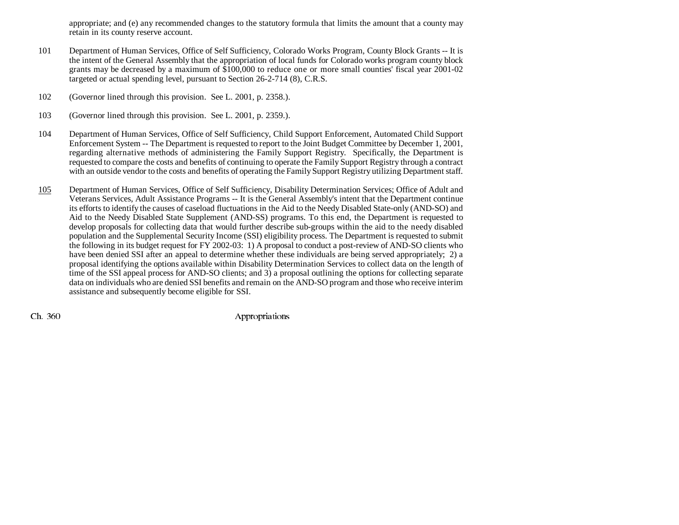appropriate; and (e) any recommended changes to the statutory formula that limits the amount that a county may retain in its county reserve account.

- 101 Department of Human Services, Office of Self Sufficiency, Colorado Works Program, County Block Grants -- It is the intent of the General Assembly that the appropriation of local funds for Colorado works program county block grants may be decreased by a maximum of \$100,000 to reduce one or more small counties' fiscal year 2001-02 targeted or actual spending level, pursuant to Section 26-2-714 (8), C.R.S.
- 102 (Governor lined through this provision. See L. 2001, p. 2358.).
- 103 (Governor lined through this provision. See L. 2001, p. 2359.).
- 104 Department of Human Services, Office of Self Sufficiency, Child Support Enforcement, Automated Child Support Enforcement System -- The Department is requested to report to the Joint Budget Committee by December 1, 2001, regarding alternative methods of administering the Family Support Registry. Specifically, the Department is requested to compare the costs and benefits of continuing to operate the Family Support Registry through a contract with an outside vendor to the costs and benefits of operating the Family Support Registry utilizing Department staff.
- 105 Department of Human Services, Office of Self Sufficiency, Disability Determination Services; Office of Adult and Veterans Services, Adult Assistance Programs -- It is the General Assembly's intent that the Department continue its efforts to identify the causes of caseload fluctuations in the Aid to the Needy Disabled State-only (AND-SO) and Aid to the Needy Disabled State Supplement (AND-SS) programs. To this end, the Department is requested to develop proposals for collecting data that would further describe sub-groups within the aid to the needy disabled population and the Supplemental Security Income (SSI) eligibility process. The Department is requested to submit the following in its budget request for FY 2002-03: 1) A proposal to conduct a post-review of AND-SO clients who have been denied SSI after an appeal to determine whether these individuals are being served appropriately; 2) a proposal identifying the options available within Disability Determination Services to collect data on the length of time of the SSI appeal process for AND-SO clients; and 3) a proposal outlining the options for collecting separate data on individuals who are denied SSI benefits and remain on the AND-SO program and those who receive interim assistance and subsequently become eligible for SSI.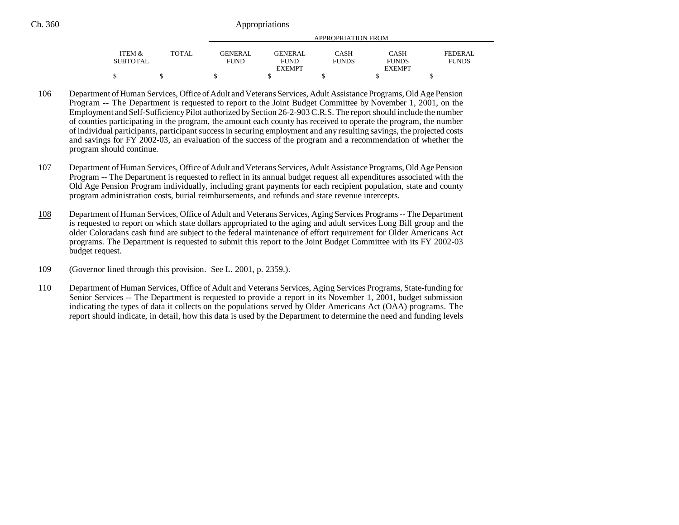|                   |              |                |                | APPROPRIATION FROM |               |              |
|-------------------|--------------|----------------|----------------|--------------------|---------------|--------------|
| <b>ITEM &amp;</b> | <b>TOTAL</b> | <b>GENERAL</b> | <b>GENERAL</b> | CASH               | <b>CASH</b>   | FEDERAL      |
| SUBTOTAL          |              | <b>FUND</b>    | <b>FUND</b>    | <b>FUNDS</b>       | <b>FUNDS</b>  | <b>FUNDS</b> |
|                   |              |                | <b>EXEMPT</b>  |                    | <b>EXEMPT</b> |              |
|                   |              |                |                |                    |               |              |

- 106 Department of Human Services, Office of Adult and Veterans Services, Adult Assistance Programs, Old Age Pension Program -- The Department is requested to report to the Joint Budget Committee by November 1, 2001, on the Employment and Self-Sufficiency Pilot authorized by Section 26-2-903 C.R.S. The report should include the number of counties participating in the program, the amount each county has received to operate the program, the number of individual participants, participant success in securing employment and any resulting savings, the projected costs and savings for FY 2002-03, an evaluation of the success of the program and a recommendation of whether the program should continue.
- 107 Department of Human Services, Office of Adult and Veterans Services, Adult Assistance Programs, Old Age Pension Program -- The Department is requested to reflect in its annual budget request all expenditures associated with the Old Age Pension Program individually, including grant payments for each recipient population, state and county program administration costs, burial reimbursements, and refunds and state revenue intercepts.
- 108 Department of Human Services, Office of Adult and Veterans Services, Aging Services Programs -- The Department is requested to report on which state dollars appropriated to the aging and adult services Long Bill group and the older Coloradans cash fund are subject to the federal maintenance of effort requirement for Older Americans Act programs. The Department is requested to submit this report to the Joint Budget Committee with its FY 2002-03 budget request.
- 109 (Governor lined through this provision. See L. 2001, p. 2359.).
- 110 Department of Human Services, Office of Adult and Veterans Services, Aging Services Programs, State-funding for Senior Services -- The Department is requested to provide a report in its November 1, 2001, budget submission indicating the types of data it collects on the populations served by Older Americans Act (OAA) programs. The report should indicate, in detail, how this data is used by the Department to determine the need and funding levels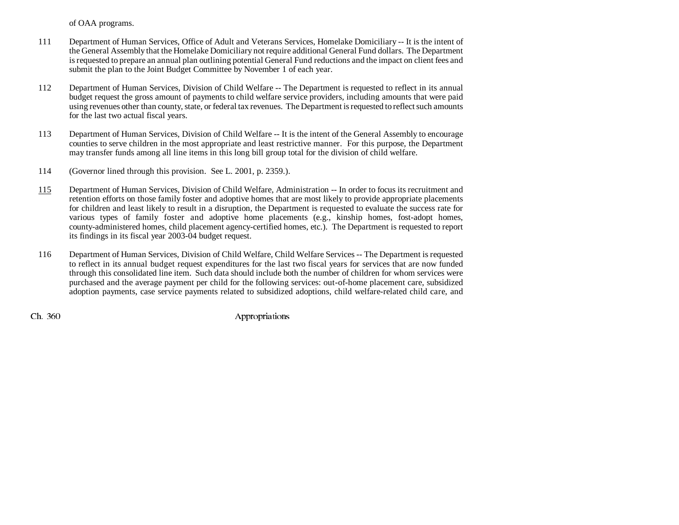of OAA programs.

- 111 Department of Human Services, Office of Adult and Veterans Services, Homelake Domiciliary -- It is the intent of the General Assembly that the Homelake Domiciliary not require additional General Fund dollars. The Department is requested to prepare an annual plan outlining potential General Fund reductions and the impact on client fees and submit the plan to the Joint Budget Committee by November 1 of each year.
- 112 Department of Human Services, Division of Child Welfare -- The Department is requested to reflect in its annual budget request the gross amount of payments to child welfare service providers, including amounts that were paid using revenues other than county, state, or federal tax revenues. The Department is requested to reflect such amounts for the last two actual fiscal years.
- 113 Department of Human Services, Division of Child Welfare -- It is the intent of the General Assembly to encourage counties to serve children in the most appropriate and least restrictive manner. For this purpose, the Department may transfer funds among all line items in this long bill group total for the division of child welfare.
- 114 (Governor lined through this provision. See L. 2001, p. 2359.).
- 115 Department of Human Services, Division of Child Welfare, Administration -- In order to focus its recruitment and retention efforts on those family foster and adoptive homes that are most likely to provide appropriate placements for children and least likely to result in a disruption, the Department is requested to evaluate the success rate for various types of family foster and adoptive home placements (e.g., kinship homes, fost-adopt homes, county-administered homes, child placement agency-certified homes, etc.). The Department is requested to report its findings in its fiscal year 2003-04 budget request.
- 116 Department of Human Services, Division of Child Welfare, Child Welfare Services -- The Department is requested to reflect in its annual budget request expenditures for the last two fiscal years for services that are now funded through this consolidated line item. Such data should include both the number of children for whom services were purchased and the average payment per child for the following services: out-of-home placement care, subsidized adoption payments, case service payments related to subsidized adoptions, child welfare-related child care, and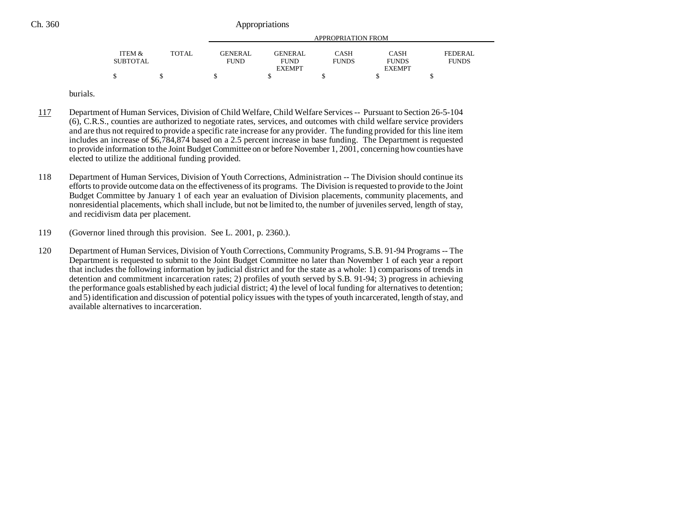|                 |        |                | APPROPRIATION FROM |              |               |              |  |  |  |
|-----------------|--------|----------------|--------------------|--------------|---------------|--------------|--|--|--|
| ITEM &          | TOTAL. | <b>GENERAL</b> | <b>GENERAL</b>     | <b>CASH</b>  | CASH          | FEDERAL      |  |  |  |
| <b>SUBTOTAL</b> |        | <b>FUND</b>    | <b>FUND</b>        | <b>FUNDS</b> | <b>FUNDS</b>  | <b>FUNDS</b> |  |  |  |
|                 |        |                | <b>EXEMPT</b>      |              | <b>EXEMPT</b> |              |  |  |  |
|                 |        |                |                    |              |               |              |  |  |  |

burials.

- 117 Department of Human Services, Division of Child Welfare, Child Welfare Services -- Pursuant to Section 26-5-104 (6), C.R.S., counties are authorized to negotiate rates, services, and outcomes with child welfare service providers and are thus not required to provide a specific rate increase for any provider. The funding provided for this line item includes an increase of \$6,784,874 based on a 2.5 percent increase in base funding. The Department is requested to provide information to the Joint Budget Committee on or before November 1, 2001, concerning how counties have elected to utilize the additional funding provided.
- 118 Department of Human Services, Division of Youth Corrections, Administration -- The Division should continue its efforts to provide outcome data on the effectiveness of its programs. The Division is requested to provide to the Joint Budget Committee by January 1 of each year an evaluation of Division placements, community placements, and nonresidential placements, which shall include, but not be limited to, the number of juveniles served, length of stay, and recidivism data per placement.
- 119 (Governor lined through this provision. See L. 2001, p. 2360.).
- 120 Department of Human Services, Division of Youth Corrections, Community Programs, S.B. 91-94 Programs -- The Department is requested to submit to the Joint Budget Committee no later than November 1 of each year a report that includes the following information by judicial district and for the state as a whole: 1) comparisons of trends in detention and commitment incarceration rates; 2) profiles of youth served by S.B. 91-94; 3) progress in achieving the performance goals established by each judicial district; 4) the level of local funding for alternatives to detention; and 5) identification and discussion of potential policy issues with the types of youth incarcerated, length of stay, and available alternatives to incarceration.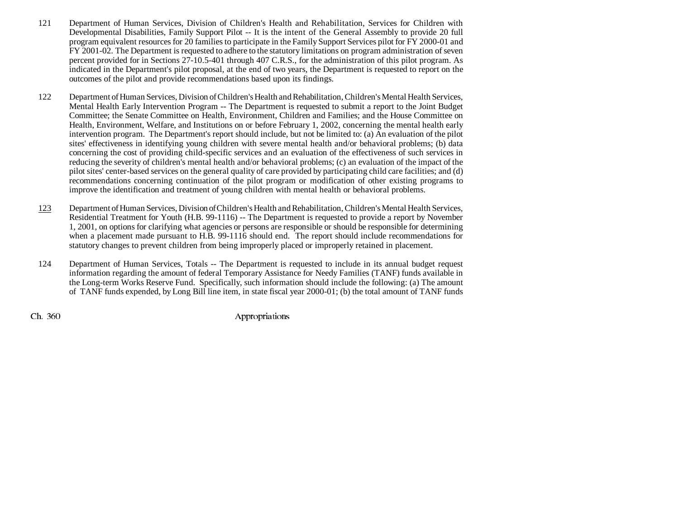- 121 Department of Human Services, Division of Children's Health and Rehabilitation, Services for Children with Developmental Disabilities, Family Support Pilot -- It is the intent of the General Assembly to provide 20 full program equivalent resources for 20 families to participate in the Family Support Services pilot for FY 2000-01 and FY 2001-02. The Department is requested to adhere to the statutory limitations on program administration of seven percent provided for in Sections 27-10.5-401 through 407 C.R.S., for the administration of this pilot program. As indicated in the Department's pilot proposal, at the end of two years, the Department is requested to report on the outcomes of the pilot and provide recommendations based upon its findings.
- 122 Department of Human Services, Division of Children's Health and Rehabilitation, Children's Mental Health Services, Mental Health Early Intervention Program -- The Department is requested to submit a report to the Joint Budget Committee; the Senate Committee on Health, Environment, Children and Families; and the House Committee on Health, Environment, Welfare, and Institutions on or before February 1, 2002, concerning the mental health early intervention program. The Department's report should include, but not be limited to: (a) An evaluation of the pilot sites' effectiveness in identifying young children with severe mental health and/or behavioral problems; (b) data concerning the cost of providing child-specific services and an evaluation of the effectiveness of such services in reducing the severity of children's mental health and/or behavioral problems; (c) an evaluation of the impact of the pilot sites' center-based services on the general quality of care provided by participating child care facilities; and (d) recommendations concerning continuation of the pilot program or modification of other existing programs to improve the identification and treatment of young children with mental health or behavioral problems.
- 123 Department of Human Services, Division of Children's Health and Rehabilitation, Children's Mental Health Services, Residential Treatment for Youth (H.B. 99-1116) -- The Department is requested to provide a report by November 1, 2001, on options for clarifying what agencies or persons are responsible or should be responsible for determining when a placement made pursuant to H.B. 99-1116 should end. The report should include recommendations for statutory changes to prevent children from being improperly placed or improperly retained in placement.
- 124 Department of Human Services, Totals -- The Department is requested to include in its annual budget request information regarding the amount of federal Temporary Assistance for Needy Families (TANF) funds available in the Long-term Works Reserve Fund. Specifically, such information should include the following: (a) The amount of TANF funds expended, by Long Bill line item, in state fiscal year 2000-01; (b) the total amount of TANF funds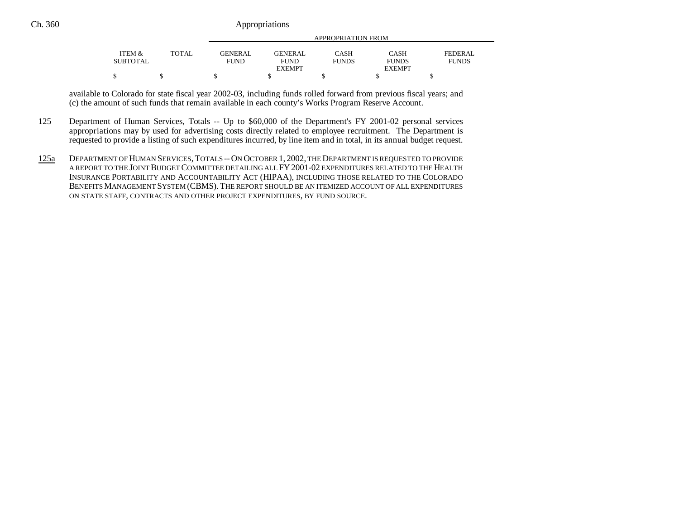|                 |       |                |                | APPROPRIATION FROM |               |              |
|-----------------|-------|----------------|----------------|--------------------|---------------|--------------|
| ITEM &          | TOTAL | <b>GENERAL</b> | <b>GENERAL</b> | CASH               | <b>CASH</b>   | FEDERAL      |
| <b>SUBTOTAL</b> |       | FUND           | <b>FUND</b>    | <b>FUNDS</b>       | <b>FUNDS</b>  | <b>FUNDS</b> |
|                 |       |                | <b>EXEMPT</b>  |                    | <b>EXEMPT</b> |              |
| \$              |       |                |                |                    |               |              |

available to Colorado for state fiscal year 2002-03, including funds rolled forward from previous fiscal years; and (c) the amount of such funds that remain available in each county's Works Program Reserve Account.

- 125 Department of Human Services, Totals -- Up to \$60,000 of the Department's FY 2001-02 personal services appropriations may by used for advertising costs directly related to employee recruitment. The Department is requested to provide a listing of such expenditures incurred, by line item and in total, in its annual budget request.
- 125a DEPARTMENT OF HUMAN SERVICES, TOTALS --ON OCTOBER 1, 2002, THE DEPARTMENT IS REQUESTED TO PROVIDE A REPORT TO THE JOINT BUDGET COMMITTEE DETAILING ALL FY2001-02 EXPENDITURES RELATED TO THE HEALTH INSURANCE PORTABILITY AND ACCOUNTABILITY ACT (HIPAA), INCLUDING THOSE RELATED TO THE COLORADO BENEFITS MANAGEMENT SYSTEM (CBMS). THE REPORT SHOULD BE AN ITEMIZED ACCOUNT OF ALL EXPENDITURES ON STATE STAFF, CONTRACTS AND OTHER PROJECT EXPENDITURES, BY FUND SOURCE.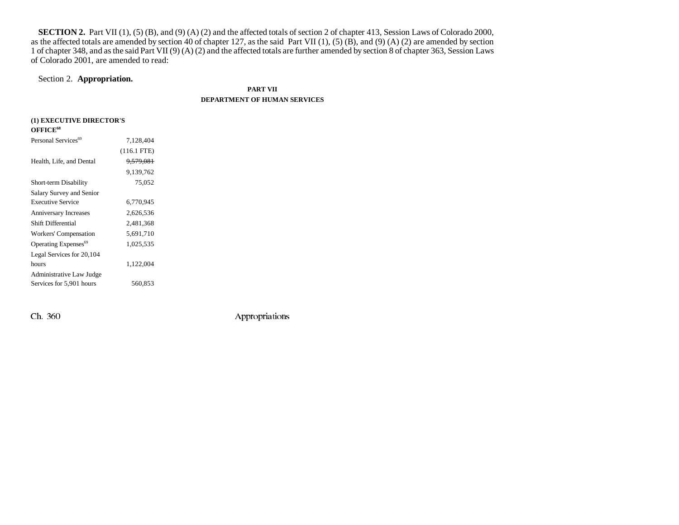**SECTION 2.** Part VII (1), (5) (B), and (9) (A) (2) and the affected totals of section 2 of chapter 413, Session Laws of Colorado 2000, as the affected totals are amended by section 40 of chapter 127, as the said Part VII  $(1)$ ,  $(5)$   $(B)$ , and  $(9)$   $(A)$   $(2)$  are amended by section 1 of chapter 348, and as the said Part VII (9) (A) (2) and the affected totals are further amended by section 8 of chapter 363, Session Laws of Colorado 2001, are amended to read:

## Section 2. **Appropriation.**

**PART VII**

### **DEPARTMENT OF HUMAN SERVICES**

| (1) EXECUTIVE DIRECTOR'S         |                      |  |
|----------------------------------|----------------------|--|
| OFFICE <sup>68</sup>             |                      |  |
| Personal Services <sup>69</sup>  | 7,128,404            |  |
|                                  | $(116.1$ FTE)        |  |
| Health, Life, and Dental         | <del>9,579,081</del> |  |
|                                  | 9,139,762            |  |
| Short-term Disability            | 75,052               |  |
| Salary Survey and Senior         |                      |  |
| <b>Executive Service</b>         | 6,770,945            |  |
| <b>Anniversary Increases</b>     | 2,626,536            |  |
| Shift Differential               | 2,481,368            |  |
| Workers' Compensation            | 5,691,710            |  |
| Operating Expenses <sup>69</sup> | 1,025,535            |  |
| Legal Services for 20,104        |                      |  |
| hours                            | 1,122,004            |  |
| Administrative Law Judge         |                      |  |
| Services for 5,901 hours         | 560,853              |  |
|                                  |                      |  |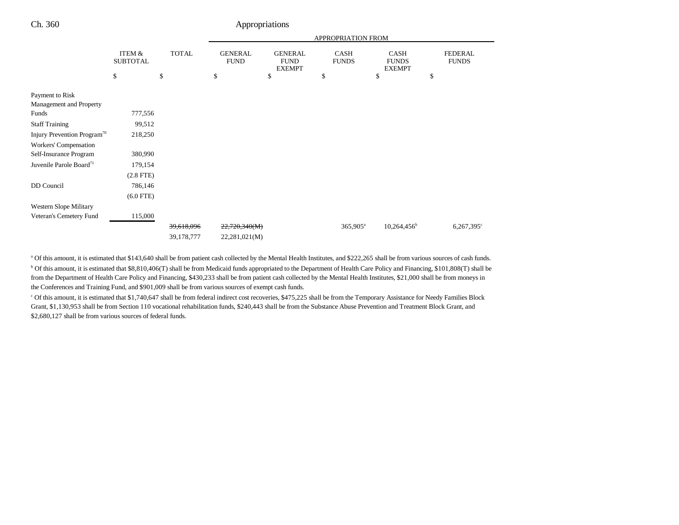|                                         |                           |              |                               |                                                | APPROPRIATION FROM          |                                              |                                |
|-----------------------------------------|---------------------------|--------------|-------------------------------|------------------------------------------------|-----------------------------|----------------------------------------------|--------------------------------|
|                                         | ITEM &<br><b>SUBTOTAL</b> | <b>TOTAL</b> | <b>GENERAL</b><br><b>FUND</b> | <b>GENERAL</b><br><b>FUND</b><br><b>EXEMPT</b> | <b>CASH</b><br><b>FUNDS</b> | <b>CASH</b><br><b>FUNDS</b><br><b>EXEMPT</b> | <b>FEDERAL</b><br><b>FUNDS</b> |
|                                         | \$                        | \$           | \$                            | \$                                             | \$                          | \$                                           | \$                             |
| Payment to Risk                         |                           |              |                               |                                                |                             |                                              |                                |
| Management and Property                 |                           |              |                               |                                                |                             |                                              |                                |
| Funds                                   | 777,556                   |              |                               |                                                |                             |                                              |                                |
| <b>Staff Training</b>                   | 99,512                    |              |                               |                                                |                             |                                              |                                |
| Injury Prevention Program <sup>70</sup> | 218,250                   |              |                               |                                                |                             |                                              |                                |
| Workers' Compensation                   |                           |              |                               |                                                |                             |                                              |                                |
| Self-Insurance Program                  | 380,990                   |              |                               |                                                |                             |                                              |                                |
| Juvenile Parole Board <sup>71</sup>     | 179,154                   |              |                               |                                                |                             |                                              |                                |
|                                         | $(2.8$ FTE)               |              |                               |                                                |                             |                                              |                                |
| DD Council                              | 786,146                   |              |                               |                                                |                             |                                              |                                |
|                                         | $(6.0$ FTE)               |              |                               |                                                |                             |                                              |                                |
| Western Slope Military                  |                           |              |                               |                                                |                             |                                              |                                |
| Veteran's Cemetery Fund                 | 115,000                   |              |                               |                                                |                             |                                              |                                |
|                                         |                           | 39,618,096   | 22,720,340(M)                 |                                                | $365,905^{\rm a}$           | $10,264,456^b$                               | $6,267,395$ <sup>c</sup>       |
|                                         |                           | 39,178,777   | 22,281,021(M)                 |                                                |                             |                                              |                                |

a Of this amount, it is estimated that \$143,640 shall be from patient cash collected by the Mental Health Institutes, and \$222,265 shall be from various sources of cash funds. b Of this amount, it is estimated that \$8,810,406(T) shall be from Medicaid funds appropriated to the Department of Health Care Policy and Financing, \$101,808(T) shall be from the Department of Health Care Policy and Financing, \$430,233 shall be from patient cash collected by the Mental Health Institutes, \$21,000 shall be from moneys in the Conferences and Training Fund, and \$901,009 shall be from various sources of exempt cash funds.

<sup>c</sup> Of this amount, it is estimated that \$1,740,647 shall be from federal indirect cost recoveries, \$475,225 shall be from the Temporary Assistance for Needy Families Block Grant, \$1,130,953 shall be from Section 110 vocational rehabilitation funds, \$240,443 shall be from the Substance Abuse Prevention and Treatment Block Grant, and \$2,680,127 shall be from various sources of federal funds.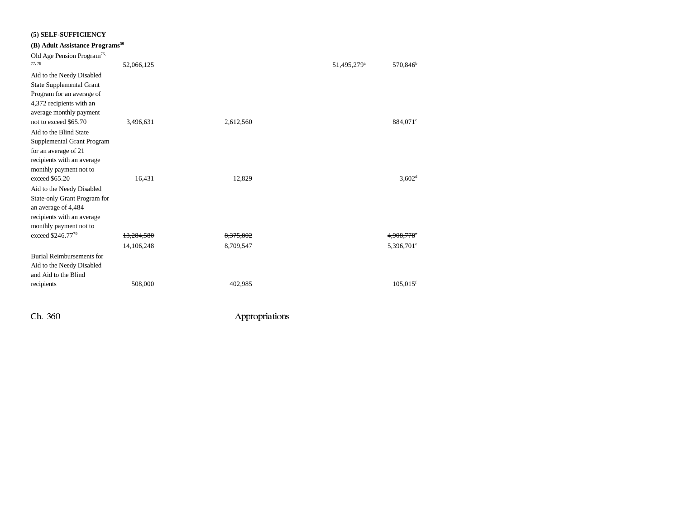| (5) SELF-SUFFICIENCY                                                                                                                     |            |           |                         |                        |
|------------------------------------------------------------------------------------------------------------------------------------------|------------|-----------|-------------------------|------------------------|
| (B) Adult Assistance Programs <sup>50</sup>                                                                                              |            |           |                         |                        |
| Old Age Pension Program <sup>76,</sup><br>77,78                                                                                          | 52,066,125 |           | 51,495,279 <sup>a</sup> | 570,846 <sup>b</sup>   |
| Aid to the Needy Disabled<br><b>State Supplemental Grant</b>                                                                             |            |           |                         |                        |
| Program for an average of<br>4,372 recipients with an<br>average monthly payment                                                         |            |           |                         |                        |
| not to exceed \$65.70                                                                                                                    | 3,496,631  | 2,612,560 |                         | 884,071 <sup>c</sup>   |
| Aid to the Blind State<br>Supplemental Grant Program<br>for an average of 21<br>recipients with an average                               |            |           |                         |                        |
| monthly payment not to<br>exceed \$65.20                                                                                                 | 16,431     | 12,829    |                         | 3,602 <sup>d</sup>     |
| Aid to the Needy Disabled<br>State-only Grant Program for<br>an average of 4,484<br>recipients with an average<br>monthly payment not to |            |           |                         |                        |
| exceed \$246.7779                                                                                                                        | 13.284.580 | 8.375.802 |                         |                        |
|                                                                                                                                          | 14,106,248 | 8,709,547 |                         | 5,396,701 <sup>e</sup> |
| Burial Reimbursements for<br>Aid to the Needy Disabled<br>and Aid to the Blind                                                           |            |           |                         |                        |
| recipients                                                                                                                               | 508,000    | 402,985   |                         | $105,015$ <sup>f</sup> |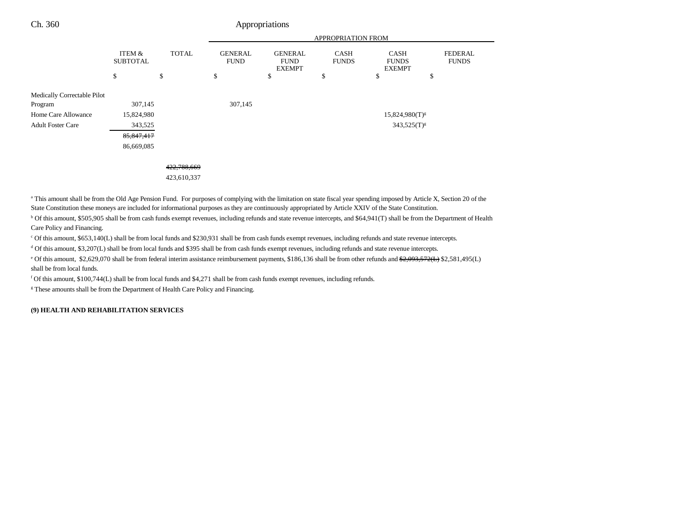|                             |                           |              | <b>APPROPRIATION FROM</b>     |                                                |                             |                                       |                                |
|-----------------------------|---------------------------|--------------|-------------------------------|------------------------------------------------|-----------------------------|---------------------------------------|--------------------------------|
|                             | ITEM &<br><b>SUBTOTAL</b> | <b>TOTAL</b> | <b>GENERAL</b><br><b>FUND</b> | <b>GENERAL</b><br><b>FUND</b><br><b>EXEMPT</b> | <b>CASH</b><br><b>FUNDS</b> | CASH<br><b>FUNDS</b><br><b>EXEMPT</b> | <b>FEDERAL</b><br><b>FUNDS</b> |
|                             | \$                        | \$           | \$                            | \$                                             | \$                          | \$<br>\$                              |                                |
| Medically Correctable Pilot |                           |              |                               |                                                |                             |                                       |                                |
| Program                     | 307,145                   |              | 307,145                       |                                                |                             |                                       |                                |
| Home Care Allowance         | 15,824,980                |              |                               |                                                |                             | $15,824,980(T)^{g}$                   |                                |
| <b>Adult Foster Care</b>    | 343,525                   |              |                               |                                                |                             | $343,525(T)^{8}$                      |                                |
|                             | 85, 847, 417              |              |                               |                                                |                             |                                       |                                |
|                             | 86,669,085                |              |                               |                                                |                             |                                       |                                |
|                             |                           |              |                               |                                                |                             |                                       |                                |
|                             |                           | 422,788,669  |                               |                                                |                             |                                       |                                |
|                             |                           | 423,610,337  |                               |                                                |                             |                                       |                                |
|                             |                           |              |                               |                                                |                             |                                       |                                |

<sup>a</sup> This amount shall be from the Old Age Pension Fund. For purposes of complying with the limitation on state fiscal year spending imposed by Article X, Section 20 of the State Constitution these moneys are included for informational purposes as they are continuously appropriated by Article XXIV of the State Constitution.

<sup>b</sup> Of this amount, \$505,905 shall be from cash funds exempt revenues, including refunds and state revenue intercepts, and \$64,941(T) shall be from the Department of Health Care Policy and Financing.

c Of this amount, \$653,140(L) shall be from local funds and \$230,931 shall be from cash funds exempt revenues, including refunds and state revenue intercepts.

d Of this amount, \$3,207(L) shall be from local funds and \$395 shall be from cash funds exempt revenues, including refunds and state revenue intercepts.

<sup>e</sup> Of this amount, \$2,629,070 shall be from federal interim assistance reimbursement payments, \$186,136 shall be from other refunds and <del>\$2,093,572(L)</del> \$2,581,495(L) shall be from local funds.

f Of this amount, \$100,744(L) shall be from local funds and \$4,271 shall be from cash funds exempt revenues, including refunds.

<sup>g</sup> These amounts shall be from the Department of Health Care Policy and Financing.

### **(9) HEALTH AND REHABILITATION SERVICES**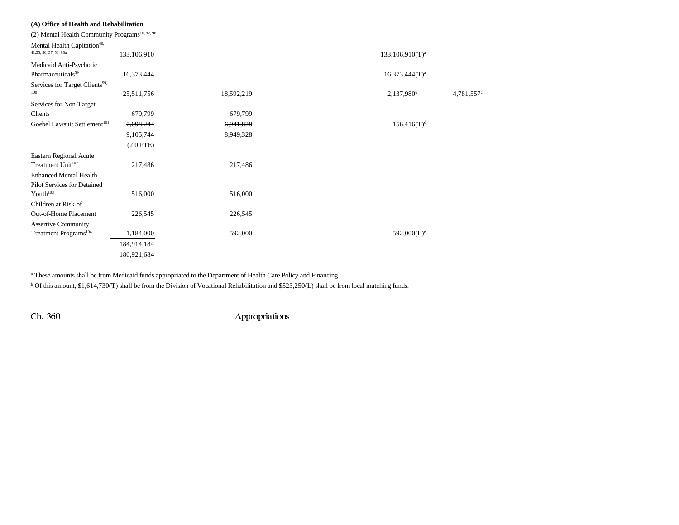| (A) Office of Health and Rehabilitation                           |                |                        |                    |           |
|-------------------------------------------------------------------|----------------|------------------------|--------------------|-----------|
| (2) Mental Health Community Programs <sup>10, 97, 98</sup>        |                |                        |                    |           |
| Mental Health Capitation <sup>40,</sup><br>41,55, 56, 57, 58, 98a | 133,106,910    |                        | $133,106,910(T)^a$ |           |
| Medicaid Anti-Psychotic<br>Pharmaceuticals <sup>59</sup>          | 16,373,444     |                        | $16,373,444(T)^a$  |           |
| Services for Target Clients <sup>99,</sup><br>100                 | 25,511,756     | 18,592,219             | $2,137,980^b$      | 4,781,557 |
| Services for Non-Target                                           |                |                        |                    |           |
| Clients                                                           | 679,799        | 679,799                |                    |           |
| Goebel Lawsuit Settlement <sup>101</sup>                          | 7,098,244      | 6,941,828 <sup>f</sup> | $156,416(T)^d$     |           |
|                                                                   | 9,105,744      | 8,949,328f             |                    |           |
|                                                                   | $(2.0$ FTE $)$ |                        |                    |           |
| Eastern Regional Acute<br>Treatment Unit <sup>102</sup>           | 217,486        | 217,486                |                    |           |
| <b>Enhanced Mental Health</b>                                     |                |                        |                    |           |
| Pilot Services for Detained<br>Youth <sup>103</sup>               | 516,000        | 516,000                |                    |           |
| Children at Risk of                                               |                |                        |                    |           |
| Out-of-Home Placement                                             | 226,545        | 226,545                |                    |           |
| <b>Assertive Community</b>                                        |                |                        |                    |           |
| Treatment Programs <sup>104</sup>                                 | 1,184,000      | 592,000                | $592,000(L)^e$     |           |
|                                                                   | 184,914,184    |                        |                    |           |
|                                                                   | 186,921,684    |                        |                    |           |

<sup>a</sup> These amounts shall be from Medicaid funds appropriated to the Department of Health Care Policy and Financing.

b Of this amount, \$1,614,730(T) shall be from the Division of Vocational Rehabilitation and \$523,250(L) shall be from local matching funds.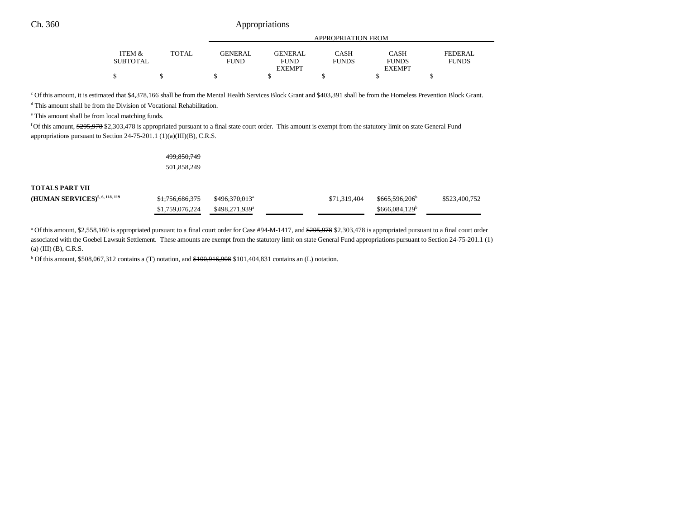|                 |              | APPROPRIATION FROM |                |              |               |              |  |
|-----------------|--------------|--------------------|----------------|--------------|---------------|--------------|--|
| ITEM &          | <b>TOTAL</b> | GENERAL.           | <b>GENERAL</b> | CASH         | <b>CASH</b>   | FEDERAL      |  |
| <b>SUBTOTAL</b> |              | <b>FUND</b>        | <b>FUND</b>    | <b>FUNDS</b> | <b>FUNDS</b>  | <b>FUNDS</b> |  |
|                 |              |                    | <b>EXEMPT</b>  |              | <b>EXEMPT</b> |              |  |
| \$              |              |                    |                |              |               |              |  |

c Of this amount, it is estimated that \$4,378,166 shall be from the Mental Health Services Block Grant and \$403,391 shall be from the Homeless Prevention Block Grant.

d This amount shall be from the Division of Vocational Rehabilitation.

e This amount shall be from local matching funds.

<sup>f</sup> Of this amount, \$295,978 \$2,303,478 is appropriated pursuant to a final state court order. This amount is exempt from the statutory limit on state General Fund appropriations pursuant to Section 24-75-201.1 (1)(a)(III)(B), C.R.S.

#### 499,850,749

501,858,249

## **TOTALS PART VII**

| (HUMAN SERVICES) <sup>5, 6, 118, 119</sup> | <del>\$1,756,686,375</del>                   | <del>\$496.370.013</del> * | \$71.319.404 | <del>\$665,596,206</del>    | \$523,400,752 |
|--------------------------------------------|----------------------------------------------|----------------------------|--------------|-----------------------------|---------------|
|                                            | $$1,759,076,224$ $$498,271,939$ <sup>a</sup> |                            |              | $$666.084.129$ <sup>b</sup> |               |

<sup>a</sup> Of this amount, \$2,558,160 is appropriated pursuant to a final court order for Case #94-M-1417, and \$295,978 \$2,303,478 is appropriated pursuant to a final court order associated with the Goebel Lawsuit Settlement. These amounts are exempt from the statutory limit on state General Fund appropriations pursuant to Section 24-75-201.1 (1) (a) (III) (B), C.R.S.

 $b$  Of this amount, \$508,067,312 contains a (T) notation, and  $$100,916,908$  \$101,404,831 contains an (L) notation.